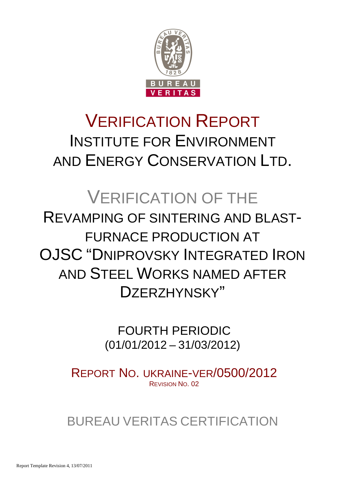

# VERIFICATION REPORT INSTITUTE FOR ENVIRONMENT AND ENERGY CONSERVATION LTD.

# VERIFICATION OF THE REVAMPING OF SINTERING AND BLAST-FURNACE PRODUCTION AT **OJSC "DNIPROVSKY INTEGRATED IRON** AND STEEL WORKS NAMED AFTER DZERZHYNSKY"

 FOURTH PERIODIC (01/01/2012 – 31/03/2012)

REPORT NO. UKRAINE-VER/0500/2012 REVISION NO. 02

BUREAU VERITAS CERTIFICATION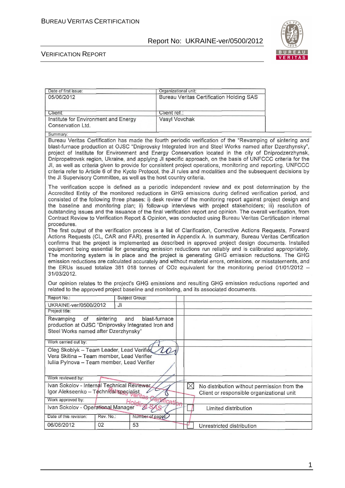

#### VERIFICATION REPORT

| Date of first issue:                                                                                                              | Organizational unit:                                                                                                                                                                                                                                                                                                                                                                                                                                                                                                                                                                                                                                                                                                                                                                                                                                                                                                                                                                                                                                                                                                                                                                                                                                                                                                                                                                                                                                |
|-----------------------------------------------------------------------------------------------------------------------------------|-----------------------------------------------------------------------------------------------------------------------------------------------------------------------------------------------------------------------------------------------------------------------------------------------------------------------------------------------------------------------------------------------------------------------------------------------------------------------------------------------------------------------------------------------------------------------------------------------------------------------------------------------------------------------------------------------------------------------------------------------------------------------------------------------------------------------------------------------------------------------------------------------------------------------------------------------------------------------------------------------------------------------------------------------------------------------------------------------------------------------------------------------------------------------------------------------------------------------------------------------------------------------------------------------------------------------------------------------------------------------------------------------------------------------------------------------------|
| 05/06/2012                                                                                                                        | <b>Bureau Veritas Certification Holding SAS</b>                                                                                                                                                                                                                                                                                                                                                                                                                                                                                                                                                                                                                                                                                                                                                                                                                                                                                                                                                                                                                                                                                                                                                                                                                                                                                                                                                                                                     |
|                                                                                                                                   |                                                                                                                                                                                                                                                                                                                                                                                                                                                                                                                                                                                                                                                                                                                                                                                                                                                                                                                                                                                                                                                                                                                                                                                                                                                                                                                                                                                                                                                     |
| Client:                                                                                                                           | Client ref.:                                                                                                                                                                                                                                                                                                                                                                                                                                                                                                                                                                                                                                                                                                                                                                                                                                                                                                                                                                                                                                                                                                                                                                                                                                                                                                                                                                                                                                        |
| Institute for Environment and Energy                                                                                              | Vasyl Vovchak                                                                                                                                                                                                                                                                                                                                                                                                                                                                                                                                                                                                                                                                                                                                                                                                                                                                                                                                                                                                                                                                                                                                                                                                                                                                                                                                                                                                                                       |
| Conservation Ltd.                                                                                                                 |                                                                                                                                                                                                                                                                                                                                                                                                                                                                                                                                                                                                                                                                                                                                                                                                                                                                                                                                                                                                                                                                                                                                                                                                                                                                                                                                                                                                                                                     |
| Summary:                                                                                                                          |                                                                                                                                                                                                                                                                                                                                                                                                                                                                                                                                                                                                                                                                                                                                                                                                                                                                                                                                                                                                                                                                                                                                                                                                                                                                                                                                                                                                                                                     |
| the JI Supervisory Committee, as well as the host country criteria.                                                               | Bureau Veritas Certification has made the fourth periodic verification of the "Revamping of sintering and<br>blast-furnace production at OJSC "Dniprovsky Integrated Iron and Steel Works named after Dzerzhynsky",<br>project of Institute for Environment and Energy Conservation located in the city of Dniprodzerzhynsk,<br>Dnipropetrovsk region, Ukraine, and applying JI specific approach, on the basis of UNFCCC criteria for the<br>JI, as well as criteria given to provide for consistent project operations, monitoring and reporting. UNFCCC<br>criteria refer to Article 6 of the Kyoto Protocol, the JI rules and modalities and the subsequent decisions by                                                                                                                                                                                                                                                                                                                                                                                                                                                                                                                                                                                                                                                                                                                                                                        |
| procedures.<br>31/03/2012.                                                                                                        | The verification scope is defined as a periodic independent review and ex post determination by the<br>Accredited Entity of the monitored reductions in GHG emissions during defined verification period, and<br>consisted of the following three phases: i) desk review of the monitoring report against project design and<br>the baseline and monitoring plan; ii) follow-up interviews with project stakeholders; iii) resolution of<br>outstanding issues and the issuance of the final verification report and opinion. The overall verification, from<br>Contract Review to Verification Report & Opinion, was conducted using Bureau Veritas Certification internal<br>The first output of the verification process is a list of Clarification, Corrective Actions Requests, Forward<br>Actions Requests (CL, CAR and FAR), presented in Appendix A. In summary, Bureau Veritas Certification<br>confirms that the project is implemented as described in approved project design documents. Installed<br>equipment being essential for generating emission reductions run reliably and is calibrated appropriately.<br>The monitoring system is in place and the project is generating GHG emission reductions. The GHG<br>emission reductions are calculated accurately and without material errors, omissions, or misstatements, and<br>the ERUs issued totalize 381 018 tonnes of CO2 equivalent for the monitoring period 01/01/2012 - |
| related to the approved project baseline and monitoring, and its associated documents.                                            | Our opinion relates to the project's GHG emissions and resulting GHG emission reductions reported and                                                                                                                                                                                                                                                                                                                                                                                                                                                                                                                                                                                                                                                                                                                                                                                                                                                                                                                                                                                                                                                                                                                                                                                                                                                                                                                                               |
| Report No.:<br>Subject Group:                                                                                                     |                                                                                                                                                                                                                                                                                                                                                                                                                                                                                                                                                                                                                                                                                                                                                                                                                                                                                                                                                                                                                                                                                                                                                                                                                                                                                                                                                                                                                                                     |
| JI<br>UKRAINE-ver/0500/2012                                                                                                       |                                                                                                                                                                                                                                                                                                                                                                                                                                                                                                                                                                                                                                                                                                                                                                                                                                                                                                                                                                                                                                                                                                                                                                                                                                                                                                                                                                                                                                                     |
| Project title:                                                                                                                    |                                                                                                                                                                                                                                                                                                                                                                                                                                                                                                                                                                                                                                                                                                                                                                                                                                                                                                                                                                                                                                                                                                                                                                                                                                                                                                                                                                                                                                                     |
| Revamping<br>of<br>sintering<br>and<br>production at OJSC "Dniprovsky Integrated Iron and<br>Steel Works named after Dzerzhynsky" | blast-furnace                                                                                                                                                                                                                                                                                                                                                                                                                                                                                                                                                                                                                                                                                                                                                                                                                                                                                                                                                                                                                                                                                                                                                                                                                                                                                                                                                                                                                                       |
| Work carried out by:                                                                                                              |                                                                                                                                                                                                                                                                                                                                                                                                                                                                                                                                                                                                                                                                                                                                                                                                                                                                                                                                                                                                                                                                                                                                                                                                                                                                                                                                                                                                                                                     |
| Oleg Skoblyk - Team Leader, Lead Verified                                                                                         | ro                                                                                                                                                                                                                                                                                                                                                                                                                                                                                                                                                                                                                                                                                                                                                                                                                                                                                                                                                                                                                                                                                                                                                                                                                                                                                                                                                                                                                                                  |
| Vera Skitina - Team member, Lead Verifier                                                                                         |                                                                                                                                                                                                                                                                                                                                                                                                                                                                                                                                                                                                                                                                                                                                                                                                                                                                                                                                                                                                                                                                                                                                                                                                                                                                                                                                                                                                                                                     |
| Iuliia Pylnova - Team member, Lead Verifier                                                                                       |                                                                                                                                                                                                                                                                                                                                                                                                                                                                                                                                                                                                                                                                                                                                                                                                                                                                                                                                                                                                                                                                                                                                                                                                                                                                                                                                                                                                                                                     |
|                                                                                                                                   |                                                                                                                                                                                                                                                                                                                                                                                                                                                                                                                                                                                                                                                                                                                                                                                                                                                                                                                                                                                                                                                                                                                                                                                                                                                                                                                                                                                                                                                     |
|                                                                                                                                   |                                                                                                                                                                                                                                                                                                                                                                                                                                                                                                                                                                                                                                                                                                                                                                                                                                                                                                                                                                                                                                                                                                                                                                                                                                                                                                                                                                                                                                                     |
|                                                                                                                                   |                                                                                                                                                                                                                                                                                                                                                                                                                                                                                                                                                                                                                                                                                                                                                                                                                                                                                                                                                                                                                                                                                                                                                                                                                                                                                                                                                                                                                                                     |
| Work reviewed by:                                                                                                                 |                                                                                                                                                                                                                                                                                                                                                                                                                                                                                                                                                                                                                                                                                                                                                                                                                                                                                                                                                                                                                                                                                                                                                                                                                                                                                                                                                                                                                                                     |
| Ivan Sokolov - Internal Technical Reviewer                                                                                        | $\boxtimes$<br>No distribution without permission from the                                                                                                                                                                                                                                                                                                                                                                                                                                                                                                                                                                                                                                                                                                                                                                                                                                                                                                                                                                                                                                                                                                                                                                                                                                                                                                                                                                                          |
| Igor Alekseenko - Technical specialist                                                                                            | Client or responsible organizational unit                                                                                                                                                                                                                                                                                                                                                                                                                                                                                                                                                                                                                                                                                                                                                                                                                                                                                                                                                                                                                                                                                                                                                                                                                                                                                                                                                                                                           |
| Work approved by:                                                                                                                 | <i>ifical</i>                                                                                                                                                                                                                                                                                                                                                                                                                                                                                                                                                                                                                                                                                                                                                                                                                                                                                                                                                                                                                                                                                                                                                                                                                                                                                                                                                                                                                                       |
| Ivan Sokolov - Operational Manager                                                                                                | Limited distribution                                                                                                                                                                                                                                                                                                                                                                                                                                                                                                                                                                                                                                                                                                                                                                                                                                                                                                                                                                                                                                                                                                                                                                                                                                                                                                                                                                                                                                |
| Rev. No.:<br>Date of this revision:<br>Number of pages;                                                                           |                                                                                                                                                                                                                                                                                                                                                                                                                                                                                                                                                                                                                                                                                                                                                                                                                                                                                                                                                                                                                                                                                                                                                                                                                                                                                                                                                                                                                                                     |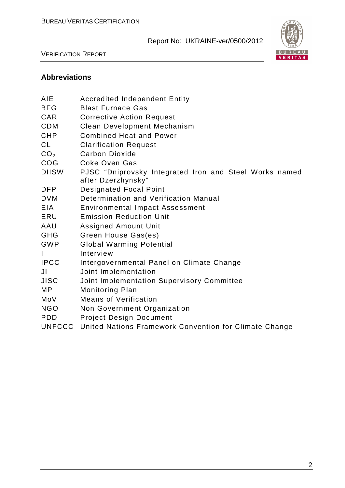

VERIFICATION REPORT

#### **Abbreviations**

| AIE             | <b>Accredited Independent Entity</b>                                         |
|-----------------|------------------------------------------------------------------------------|
| <b>BFG</b>      | <b>Blast Furnace Gas</b>                                                     |
| <b>CAR</b>      | <b>Corrective Action Request</b>                                             |
| <b>CDM</b>      | <b>Clean Development Mechanism</b>                                           |
| <b>CHP</b>      | <b>Combined Heat and Power</b>                                               |
| <b>CL</b>       | <b>Clarification Request</b>                                                 |
| CO <sub>2</sub> | Carbon Dioxide                                                               |
| COG             | Coke Oven Gas                                                                |
| <b>DIISW</b>    | PJSC "Dniprovsky Integrated Iron and Steel Works named<br>after Dzerzhynsky" |
| <b>DFP</b>      | <b>Designated Focal Point</b>                                                |
| <b>DVM</b>      | Determination and Verification Manual                                        |
| <b>EIA</b>      | <b>Environmental Impact Assessment</b>                                       |
| ERU             | <b>Emission Reduction Unit</b>                                               |
| AAU             | <b>Assigned Amount Unit</b>                                                  |
| <b>GHG</b>      | Green House Gas(es)                                                          |
| <b>GWP</b>      | <b>Global Warming Potential</b>                                              |
| I               | Interview                                                                    |
| <b>IPCC</b>     | Intergovernmental Panel on Climate Change                                    |
| JI              | Joint Implementation                                                         |
| <b>JISC</b>     | Joint Implementation Supervisory Committee                                   |
| <b>MP</b>       | <b>Monitoring Plan</b>                                                       |
| MoV             | <b>Means of Verification</b>                                                 |
| <b>NGO</b>      | Non Government Organization                                                  |
| <b>PDD</b>      | <b>Project Design Document</b>                                               |
| <b>UNFCCC</b>   | United Nations Framework Convention for Climate Change                       |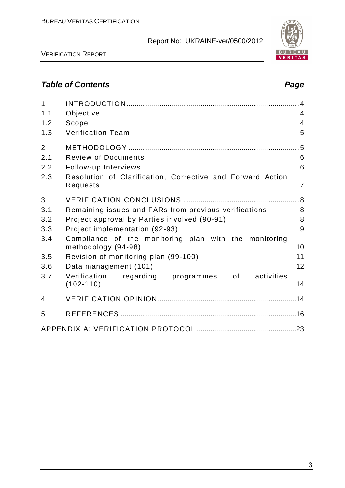VERIFICATION REPORT

# **Table of Contents Page 2018**

| $\mathbf{1}$<br>1.1<br>1.2<br>1.3   | Objective<br>Scope<br><b>Verification Team</b>                                                                               | $\cdot$<br>4<br>4<br>5         |
|-------------------------------------|------------------------------------------------------------------------------------------------------------------------------|--------------------------------|
| $\overline{2}$<br>2.1<br>2.2<br>2.3 | <b>Review of Documents</b><br>Follow-up Interviews<br>Resolution of Clarification, Corrective and Forward Action<br>Requests | .5<br>6<br>6<br>$\overline{7}$ |
| 3                                   |                                                                                                                              |                                |
| 3.1                                 | Remaining issues and FARs from previous verifications                                                                        | 8                              |
| 3.2                                 | Project approval by Parties involved (90-91)                                                                                 | 8                              |
| 3.3                                 | Project implementation (92-93)                                                                                               | 9                              |
| 3.4                                 | Compliance of the monitoring plan with the monitoring<br>methodology (94-98)                                                 | 10                             |
| 3.5                                 | Revision of monitoring plan (99-100)                                                                                         | 11                             |
| 3.6                                 | Data management (101)                                                                                                        | 12                             |
| 3.7                                 | Verification<br>regarding programmes<br>activities<br>of the control<br>$(102 - 110)$                                        | 14                             |
| 4                                   |                                                                                                                              |                                |
| 5                                   |                                                                                                                              |                                |
|                                     |                                                                                                                              |                                |

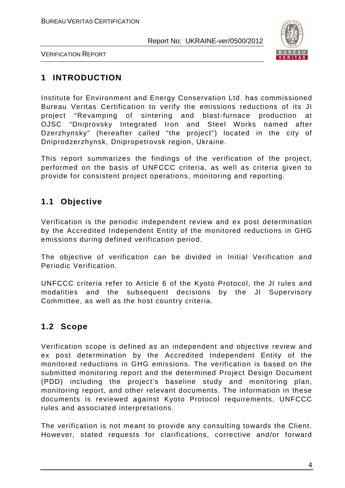

VERIFICATION REPORT

## **1 INTRODUCTION**

Institute for Environment and Energy Conservation Ltd. has commissioned Bureau Veritas Certification to verify the emissions reductions of its JI project "Revamping of sintering and blast-furnace production at OJSC "Dniprovsky Integrated Iron and Steel Works named after Dzerzhynsky" (hereafter called "the project") located in the city of Dniprodzerzhynsk, Dnipropetrovsk region, Ukraine.

This report summarizes the findings of the verification of the project, performed on the basis of UNFCCC criteria, as well as criteria given to provide for consistent project operations, monitoring and reporting.

### **1.1 Objective**

Verification is the periodic independent review and ex post determination by the Accredited Independent Entity of the monitored reductions in GHG emissions during defined verification period.

The objective of verification can be divided in Initial Verification and Periodic Verification.

UNFCCC criteria refer to Article 6 of the Kyoto Protocol, the JI rules and modalities and the subsequent decisions by the JI Supervisory Committee, as well as the host country criteria.

# **1.2 Scope**

Verification scope is defined as an independent and objective review and ex post determination by the Accredited Independent Entity of the monitored reductions in GHG emissions. The verification is based on the submitted monitoring report and the determined Project Design Document (PDD) including the project's baseline study and monitoring plan, monitoring report, and other relevant documents. The information in these documents is reviewed against Kyoto Protocol requirements, UNFCCC rules and associated interpretations.

The verification is not meant to provide any consulting towards the Client. However, stated requests for clarifications, corrective and/or forward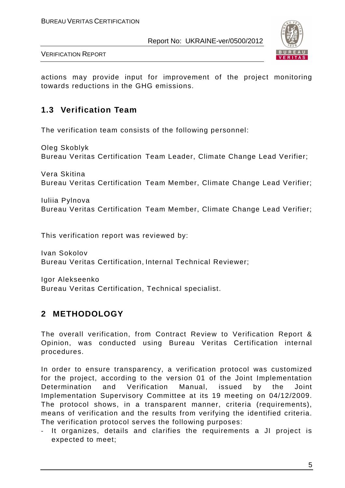

VERIFICATION REPORT

actions may provide input for improvement of the project monitoring towards reductions in the GHG emissions.

#### **1.3 Verification Team**

The verification team consists of the following personnel:

Oleg Skoblyk Bureau Veritas Certification Team Leader, Climate Change Lead Verifier;

Vera Skitina Bureau Veritas Certification Team Member, Climate Change Lead Verifier;

Iuliia Pylnova Bureau Veritas Certification Team Member, Climate Change Lead Verifier;

This verification report was reviewed by:

Ivan Sokolov Bureau Veritas Certification, Internal Technical Reviewer;

Igor Alekseenko Bureau Veritas Certification, Technical specialist.

# **2 METHODOLOGY**

The overall verification, from Contract Review to Verification Report & Opinion, was conducted using Bureau Veritas Certification internal procedures.

In order to ensure transparency, a verification protocol was customized for the project, according to the version 01 of the Joint Implementation Determination and Verification Manual, issued by the Joint Implementation Supervisory Committee at its 19 meeting on 04/12/2009. The protocol shows, in a transparent manner, criteria (requirements), means of verification and the results from verifying the identified criteria. The verification protocol serves the following purposes:

- It organizes, details and clarifies the requirements a JI project is expected to meet;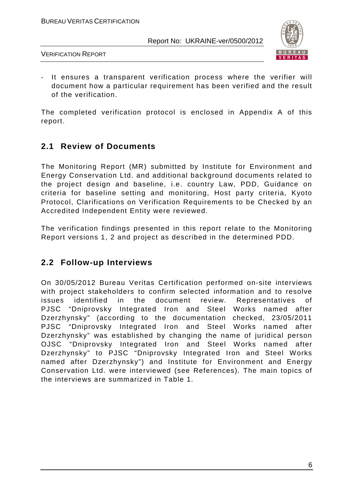

VERIFICATION REPORT

- It ensures a transparent verification process where the verifier will document how a particular requirement has been verified and the result of the verification.

The completed verification protocol is enclosed in Appendix A of this report.

### **2.1 Review of Documents**

The Monitoring Report (MR) submitted by Institute for Environment and Energy Conservation Ltd. and additional background documents related to the project design and baseline, i.e. country Law, PDD, Guidance on criteria for baseline setting and monitoring, Host party criteria, Kyoto Protocol, Clarifications on Verification Requirements to be Checked by an Accredited Independent Entity were reviewed.

The verification findings presented in this report relate to the Monitoring Report versions 1, 2 and project as described in the determined PDD.

#### **2.2 Follow-up Interviews**

On 30/05/2012 Bureau Veritas Certification performed on-site interviews with project stakeholders to confirm selected information and to resolve issues identified in the document review. Representatives of PJSC "Dniprovsky Integrated Iron and Steel Works named after Dzerzhynsky" (according to the documentation checked, 23/05/2011 PJSC "Dniprovsky Integrated Iron and Steel Works named after Dzerzhynsky" was established by changing the name of juridical person OJSC "Dniprovsky Integrated Iron and Steel Works named after Dzerzhynsky" to PJSC "Dniprovsky Integrated Iron and Steel Works named after Dzerzhynsky") and Institute for Environment and Energy Conservation Ltd. were interviewed (see References). The main topics of the interviews are summarized in Table 1.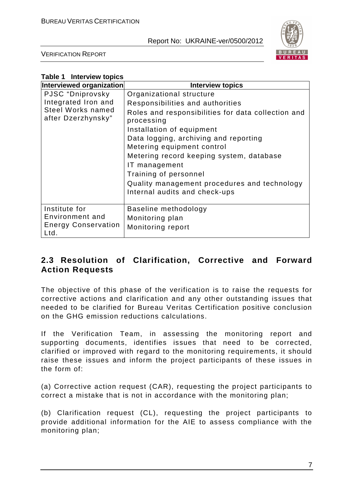

VERIFICATION REPORT

| <b>Table 1 Interview topics</b>                |                                                                  |
|------------------------------------------------|------------------------------------------------------------------|
| Interviewed organization                       | <b>Interview topics</b>                                          |
| PJSC "Dniprovsky                               | Organizational structure                                         |
| Integrated Iron and                            | Responsibilities and authorities                                 |
| <b>Steel Works named</b><br>after Dzerzhynsky" | Roles and responsibilities for data collection and<br>processing |
|                                                | Installation of equipment                                        |
|                                                | Data logging, archiving and reporting                            |
|                                                | Metering equipment control                                       |
|                                                | Metering record keeping system, database                         |
|                                                | IT management                                                    |
|                                                | Training of personnel                                            |
|                                                | Quality management procedures and technology                     |
|                                                | Internal audits and check-ups                                    |
| Institute for                                  | Baseline methodology                                             |
| Environment and                                | Monitoring plan                                                  |
| <b>Energy Conservation</b><br>Ltd.             | Monitoring report                                                |

#### **2.3 Resolution of Clarification, Corrective and Forward Action Requests**

The objective of this phase of the verification is to raise the requests for corrective actions and clarification and any other outstanding issues that needed to be clarified for Bureau Veritas Certification positive conclusion on the GHG emission reductions calculations.

If the Verification Team, in assessing the monitoring report and supporting documents, identifies issues that need to be corrected, clarified or improved with regard to the monitoring requirements, it should raise these issues and inform the project participants of these issues in the form of:

(a) Corrective action request (CAR), requesting the project participants to correct a mistake that is not in accordance with the monitoring plan;

(b) Clarification request (CL), requesting the project participants to provide additional information for the AIE to assess compliance with the monitoring plan;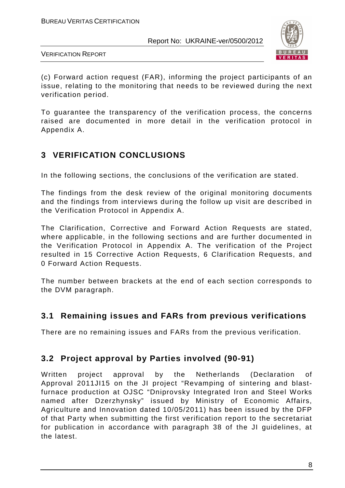

VERIFICATION REPORT

(c) Forward action request (FAR), informing the project participants of an issue, relating to the monitoring that needs to be reviewed during the next verification period.

To guarantee the transparency of the verification process, the concerns raised are documented in more detail in the verification protocol in Appendix A.

# **3 VERIFICATION CONCLUSIONS**

In the following sections, the conclusions of the verification are stated.

The findings from the desk review of the original monitoring documents and the findings from interviews during the follow up visit are described in the Verification Protocol in Appendix A.

The Clarification, Corrective and Forward Action Requests are stated, where applicable, in the following sections and are further documented in the Verification Protocol in Appendix A. The verification of the Project resulted in 15 Corrective Action Requests, 6 Clarification Requests, and 0 Forward Action Requests.

The number between brackets at the end of each section corresponds to the DVM paragraph.

### **3.1 Remaining issues and FARs from previous verifications**

There are no remaining issues and FARs from the previous verification.

# **3.2 Project approval by Parties involved (90-91)**

Written project approval by the Netherlands (Declaration of Approval 2011JI15 on the JI project "Revamping of sintering and blastfurnace production at OJSC "Dniprovsky Integrated Iron and Steel Works named after Dzerzhynsky" issued by Ministry of Economic Affairs, Agriculture and Innovation dated 10/05/2011) has been issued by the DFP of that Party when submitting the first verification report to the secretariat for publication in accordance with paragraph 38 of the JI guidelines, at the latest.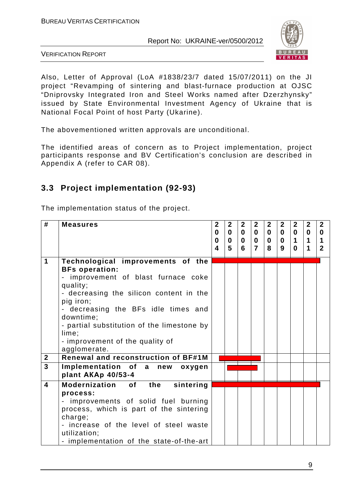

VERIFICATION REPORT

Also, Letter of Approval (LoA #1838/23/7 dated 15/07/2011) on the JI project "Revamping of sintering and blast-furnace production at OJSC "Dniprovsky Integrated Iron and Steel Works named after Dzerzhynsky" issued by State Environmental Investment Agency of Ukraine that is National Focal Point of host Party (Ukarine).

The abovementioned written approvals are unconditional.

The identified areas of concern as to Project implementation, project participants response and BV Certification's conclusion are described in Appendix A (refer to CAR 08).

### **3.3 Project implementation (92-93)**

The implementation status of the project.

| #                       | <b>Measures</b>                                                                                                                                                                                                                                                                                                                     | $\overline{2}$<br>0<br>$\bf{0}$ | $\overline{2}$<br>$\bf{0}$<br>$\bf{0}$ | $\mathbf{2}$<br>$\mathbf{0}$<br>$\mathbf{0}$ | $\overline{2}$<br>$\bf{0}$<br>$\bf{0}$ | $\mathbf{2}$<br>$\mathbf{0}$<br>$\mathbf 0$ | $\mathbf{2}$<br>$\mathbf{0}$<br>$\mathbf{0}$ | $\mathbf{2}$<br>$\mathbf{0}$<br>1 | $\mathbf{2}$<br>$\mathbf{0}$<br>$\mathbf 1$ | $\mathbf{2}$<br>$\bf{0}$<br>$\blacktriangleleft$ |
|-------------------------|-------------------------------------------------------------------------------------------------------------------------------------------------------------------------------------------------------------------------------------------------------------------------------------------------------------------------------------|---------------------------------|----------------------------------------|----------------------------------------------|----------------------------------------|---------------------------------------------|----------------------------------------------|-----------------------------------|---------------------------------------------|--------------------------------------------------|
|                         |                                                                                                                                                                                                                                                                                                                                     | 4                               | 5                                      | 6                                            | $\overline{7}$                         | 8                                           | 9                                            | 0                                 | 1                                           | $\mathbf{2}$                                     |
| 1                       | Technological improvements of the<br><b>BFs operation:</b><br>- improvement of blast furnace coke<br>quality;<br>- decreasing the silicon content in the<br>pig iron;<br>- decreasing the BFs idle times and<br>downtime;<br>- partial substitution of the limestone by<br>lime;<br>- improvement of the quality of<br>agglomerate. |                                 |                                        |                                              |                                        |                                             |                                              |                                   |                                             |                                                  |
| $\overline{2}$          | <b>Renewal and reconstruction of BF#1M</b>                                                                                                                                                                                                                                                                                          |                                 |                                        |                                              |                                        |                                             |                                              |                                   |                                             |                                                  |
| $\overline{3}$          | Implementation of a new<br>oxygen<br>plant AKAp 40/53-4                                                                                                                                                                                                                                                                             |                                 |                                        |                                              |                                        |                                             |                                              |                                   |                                             |                                                  |
| $\overline{\mathbf{A}}$ | <b>Modernization</b><br><b>of</b><br>the<br>sintering<br>process:<br>improvements of solid fuel burning<br>process, which is part of the sintering<br>charge;<br>- increase of the level of steel waste<br>utilization;<br>- implementation of the state-of-the-art                                                                 |                                 |                                        |                                              |                                        |                                             |                                              |                                   |                                             |                                                  |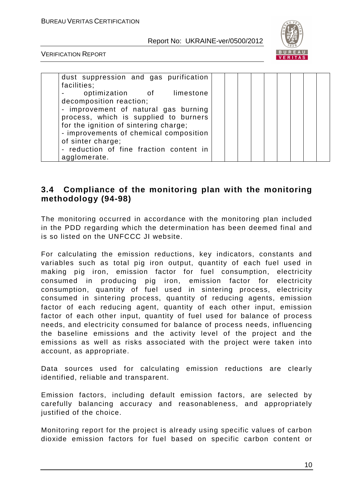

VERIFICATION REPORT

| dust suppression and gas purification   |  |  |  |  |  |
|-----------------------------------------|--|--|--|--|--|
| facilities;                             |  |  |  |  |  |
| optimization of limestone               |  |  |  |  |  |
| decomposition reaction;                 |  |  |  |  |  |
| - improvement of natural gas burning    |  |  |  |  |  |
| process, which is supplied to burners   |  |  |  |  |  |
| for the ignition of sintering charge;   |  |  |  |  |  |
| - improvements of chemical composition  |  |  |  |  |  |
| of sinter charge;                       |  |  |  |  |  |
| - reduction of fine fraction content in |  |  |  |  |  |
| agglomerate.                            |  |  |  |  |  |

#### **3.4 Compliance of the monitoring plan with the monitoring methodology (94-98)**

The monitoring occurred in accordance with the monitoring plan included in the PDD regarding which the determination has been deemed final and is so listed on the UNFCCC JI website.

For calculating the emission reductions, key indicators, constants and variables such as total pig iron output, quantity of each fuel used in making pig iron, emission factor for fuel consumption, electricity consumed in producing pig iron, emission factor for electricity consumption, quantity of fuel used in sintering process, electricity consumed in sintering process, quantity of reducing agents, emission factor of each reducing agent, quantity of each other input, emission factor of each other input, quantity of fuel used for balance of process needs, and electricity consumed for balance of process needs, influencing the baseline emissions and the activity level of the project and the emissions as well as risks associated with the project were taken into account, as appropriate.

Data sources used for calculating emission reductions are clearly identified, reliable and transparent.

Emission factors, including default emission factors, are selected by carefully balancing accuracy and reasonableness, and appropriately justified of the choice.

Monitoring report for the project is already using specific values of carbon dioxide emission factors for fuel based on specific carbon content or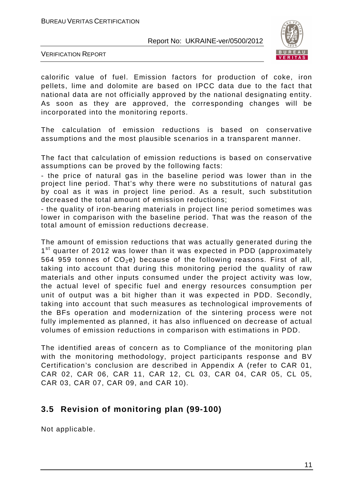

VERIFICATION REPORT

calorific value of fuel. Emission factors for production of coke, iron pellets, lime and dolomite are based on IPCC data due to the fact that national data are not officially approved by the national designating entity. As soon as they are approved, the corresponding changes will be incorporated into the monitoring reports.

The calculation of emission reductions is based on conservative assumptions and the most plausible scenarios in a transparent manner.

The fact that calculation of emission reductions is based on conservative assumptions can be proved by the following facts:

- the price of natural gas in the baseline period was lower than in the project line period. That's why there were no substitutions of natural gas by coal as it was in project line period. As a result, such substitution decreased the total amount of emission reductions;

- the quality of iron-bearing materials in project line period sometimes was lower in comparison with the baseline period. That was the reason of the total amount of emission reductions decrease.

The amount of emission reductions that was actually generated during the 1<sup>st</sup> quarter of 2012 was lower than it was expected in PDD (approximately 564 959 tonnes of  $CO<sub>2</sub>e$ ) because of the following reasons. First of all, taking into account that during this monitoring period the quality of raw materials and other inputs consumed under the project activity was low, the actual level of specific fuel and energy resources consumption per unit of output was a bit higher than it was expected in PDD. Secondly, taking into account that such measures as technological improvements of the BFs operation and modernization of the sintering process were not fully implemented as planned, it has also influenced on decrease of actual volumes of emission reductions in comparison with estimations in PDD.

The identified areas of concern as to Compliance of the monitoring plan with the monitoring methodology, project participants response and BV Certification's conclusion are described in Appendix A (refer to CAR 01, CAR 02, CAR 06, CAR 11, CAR 12, CL 03, CAR 04, CAR 05, CL 05, CAR 03, CAR 07, CAR 09, and CAR 10).

### **3.5 Revision of monitoring plan (99-100)**

Not applicable.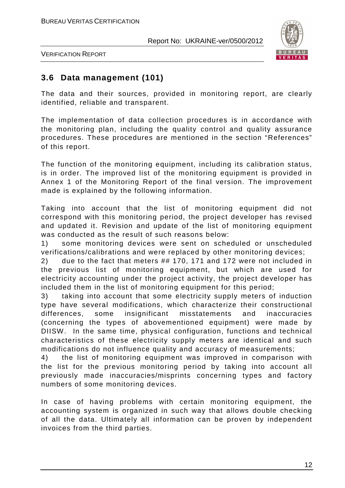

VERIFICATION REPORT

#### **3.6 Data management (101)**

The data and their sources, provided in monitoring report, are clearly identified, reliable and transparent.

The implementation of data collection procedures is in accordance with the monitoring plan, including the quality control and quality assurance procedures. These procedures are mentioned in the section "References" of this report.

The function of the monitoring equipment, including its calibration status, is in order. The improved list of the monitoring equipment is provided in Annex 1 of the Monitoring Report of the final version. The improvement made is explained by the following information.

Taking into account that the list of monitoring equipment did not correspond with this monitoring period, the project developer has revised and updated it. Revision and update of the list of monitoring equipment was conducted as the result of such reasons below:

1) some monitoring devices were sent on scheduled or unscheduled verifications/calibrations and were replaced by other monitoring devices;

2) due to the fact that meters ## 170, 171 and 172 were not included in the previous list of monitoring equipment, but which are used for electricity accounting under the project activity, the project developer has included them in the list of monitoring equipment for this period;

3) taking into account that some electricity supply meters of induction type have several modifications, which characterize their constructional differences, some insignificant misstatements and inaccuracies (concerning the types of abovementioned equipment) were made by DIISW. In the same time, physical configuration, functions and technical characteristics of these electricity supply meters are identical and such modifications do not influence quality and accuracy of measurements;

4) the list of monitoring equipment was improved in comparison with the list for the previous monitoring period by taking into account all previously made inaccuracies/misprints concerning types and factory numbers of some monitoring devices.

In case of having problems with certain monitoring equipment, the accounting system is organized in such way that allows double checking of all the data. Ultimately all information can be proven by independent invoices from the third parties.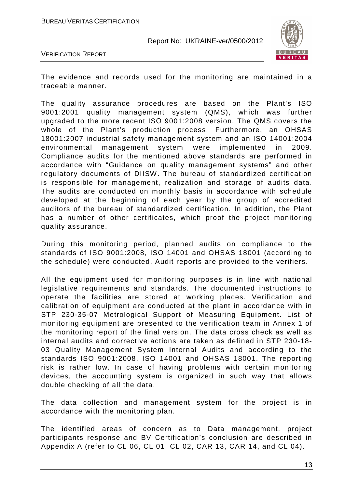

VERIFICATION REPORT

The evidence and records used for the monitoring are maintained in a traceable manner.

The quality assurance procedures are based on the Plant's ISO 9001:2001 quality management system (QMS), which was further upgraded to the more recent ISО 9001:2008 version. The QMS covers the whole of the Plant's production process. Furthermore, an OHSAS 18001:2007 industrial safety management system and an ISO 14001:2004 environmental management system were implemented in 2009. Compliance audits for the mentioned above standards are performed in accordance with "Guidance on quality management systems" and other regulatory documents of DIISW. The bureau of standardized certification is responsible for management, realization and storage of audits data. The audits are conducted on monthly basis in accordance with schedule developed at the beginning of each year by the group of accredited auditors of the bureau of standardized certification. In addition, the Plant has a number of other certificates, which proof the project monitoring quality assurance.

During this monitoring period, planned audits on compliance to the standards of ISO 9001:2008, ISO 14001 and OHSAS 18001 (according to the schedule) were conducted. Audit reports are provided to the verifiers.

All the equipment used for monitoring purposes is in line with national legislative requirements and standards. The documented instructions to operate the facilities are stored at working places. Verification and calibration of equipment are conducted at the plant in accordance with in STP 230-35-07 Metrological Support of Measuring Equipment. List of monitoring equipment are presented to the verification team in Annex 1 of the monitoring report of the final version. The data cross check as well as internal audits and corrective actions are taken as defined in STP 230-18- 03 Quality Management System Internal Audits and according to the standards ISO 9001:2008, ISO 14001 and OHSAS 18001. The reporting risk is rather low. In case of having problems with certain monitoring devices, the accounting system is organized in such way that allows double checking of all the data.

The data collection and management system for the project is in accordance with the monitoring plan.

The identified areas of concern as to Data management, project participants response and BV Certification's conclusion are described in Appendix A (refer to CL 06, CL 01, CL 02, CAR 13, CAR 14, and CL 04).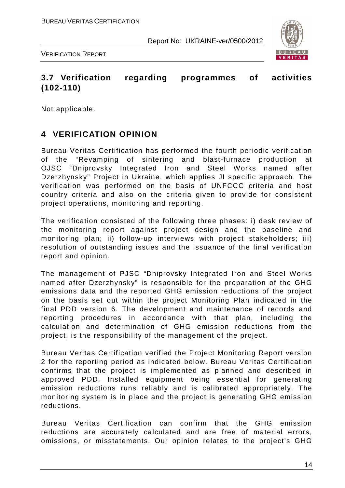

VERIFICATION REPORT

### **3.7 Verification regarding programmes of activities (102-110)**

Not applicable.

#### **4 VERIFICATION OPINION**

Bureau Veritas Certification has performed the fourth periodic verification of the "Revamping of sintering and blast-furnace production at OJSC "Dniprovsky Integrated Iron and Steel Works named after Dzerzhynsky" Project in Ukraine, which applies JI specific approach. The verification was performed on the basis of UNFCCC criteria and host country criteria and also on the criteria given to provide for consistent project operations, monitoring and reporting.

The verification consisted of the following three phases: i) desk review of the monitoring report against project design and the baseline and monitoring plan; ii) follow-up interviews with project stakeholders; iii) resolution of outstanding issues and the issuance of the final verification report and opinion.

The management of PJSC "Dniprovsky Integrated Iron and Steel Works named after Dzerzhynsky" is responsible for the preparation of the GHG emissions data and the reported GHG emission reductions of the project on the basis set out within the project Monitoring Plan indicated in the final PDD version 6. The development and maintenance of records and reporting procedures in accordance with that plan, including the calculation and determination of GHG emission reductions from the project, is the responsibility of the management of the project.

Bureau Veritas Certification verified the Project Monitoring Report version 2 for the reporting period as indicated below. Bureau Veritas Certification confirms that the project is implemented as planned and described in approved PDD. Installed equipment being essential for generating emission reductions runs reliably and is calibrated appropriately. The monitoring system is in place and the project is generating GHG emission reductions.

Bureau Veritas Certification can confirm that the GHG emission reductions are accurately calculated and are free of material errors, omissions, or misstatements. Our opinion relates to the project's GHG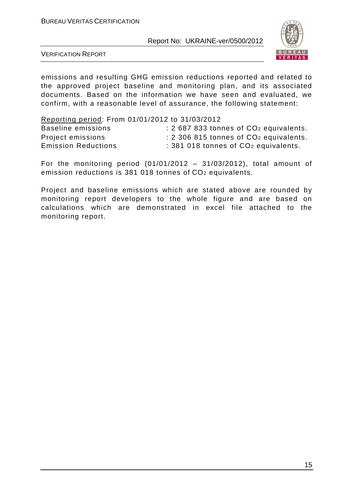

VERIFICATION REPORT

emissions and resulting GHG emission reductions reported and related to the approved project baseline and monitoring plan, and its associated documents. Based on the information we have seen and evaluated, we confirm, with a reasonable level of assurance, the following statement:

| Reporting period: From 01/01/2012 to 31/03/2012 |                                                    |
|-------------------------------------------------|----------------------------------------------------|
| Baseline emissions                              | : 2 687 833 tonnes of CO <sub>2</sub> equivalents. |
| Project emissions                               | : 2 306 815 tonnes of CO <sub>2</sub> equivalents. |
| <b>Emission Reductions</b>                      | : 381 018 tonnes of CO <sub>2</sub> equivalents.   |

For the monitoring period  $(01/01/2012 - 31/03/2012)$ , total amount of emission reductions is 381 018 tonnes of CO2 equivalents.

Project and baseline emissions which are stated above are rounded by monitoring report developers to the whole figure and are based on calculations which are demonstrated in excel file attached to the monitoring report.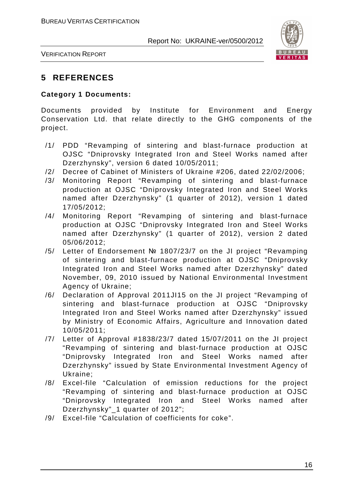

VERIFICATION REPORT

#### **5 REFERENCES**

#### **Category 1 Documents:**

Documents provided by Institute for Environment and Energy Conservation Ltd. that relate directly to the GHG components of the project.

- /1/ PDD "Revamping of sintering and blast-furnace production at OJSC "Dniprovsky Integrated Iron and Steel Works named after Dzerzhynsky", version 6 dated 10/05/2011;
- /2/ Decree of Cabinet of Ministers of Ukraine #206, dated 22/02/2006;
- /3/ Monitoring Report "Revamping of sintering and blast-furnace production at OJSC "Dniprovsky Integrated Iron and Steel Works named after Dzerzhynsky" (1 quarter of 2012), version 1 dated 17/05/2012;
- /4/ Monitoring Report "Revamping of sintering and blast-furnace production at OJSC "Dniprovsky Integrated Iron and Steel Works named after Dzerzhynsky" (1 quarter of 2012), version 2 dated 05/06/2012;
- /5/ Letter of Endorsement № 1807/23/7 on the JI project "Revamping of sintering and blast-furnace production at OJSC "Dniprovsky Integrated Iron and Steel Works named after Dzerzhynsky" dated November, 09, 2010 issued by National Environmental Investment Agency of Ukraine;
- /6/ Declaration of Approval 2011JI15 on the JI project "Revamping of sintering and blast-furnace production at OJSC "Dniprovsky Integrated Iron and Steel Works named after Dzerzhynsky" issued by Ministry of Economic Affairs, Agriculture and Innovation dated 10/05/2011;
- /7/ Letter of Approval #1838/23/7 dated 15/07/2011 on the JI project "Revamping of sintering and blast-furnace production at OJSC "Dniprovsky Integrated Iron and Steel Works named after Dzerzhynsky" issued by State Environmental Investment Agency of Ukraine;
- /8/ Excel-file "Calculation of emission reductions for the project "Revamping of sintering and blast-furnace production at OJSC "Dniprovsky Integrated Iron and Steel Works named after Dzerzhynsky"\_1 quarter of 2012";
- /9/ Excel-file "Calculation of coefficients for coke".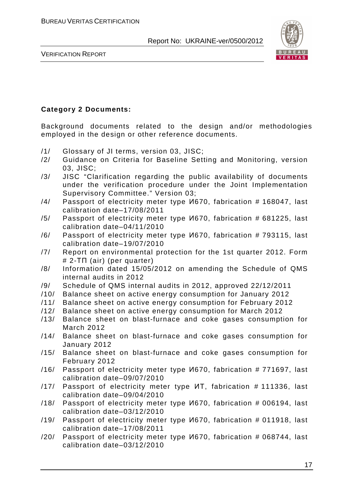

VERIFICATION REPORT

#### **Category 2 Documents:**

Background documents related to the design and/or methodologies employed in the design or other reference documents.

- /1/ Glossary of JI terms, version 03, JISC;
- /2/ Guidance on Criteria for Baseline Setting and Monitoring, version 03, JISC;
- /3/ JISC "Clarification regarding the public availability of documents under the verification procedure under the Joint Implementation Supervisory Committee." Version 03;
- /4/ Passport of electricity meter type И670, fabrication # 168047, last calibration date–17/08/2011
- /5/ Passport of electricity meter type И670, fabrication # 681225, last calibration date–04/11/2010
- /6/ Passport of electricity meter type И670, fabrication # 793115, last calibration date–19/07/2010
- /7/ Report on environmental protection for the 1st quarter 2012. Form # 2-ТП (air) (per quarter)
- /8/ Information dated 15/05/2012 on amending the Schedule of QMS internal audits in 2012
- /9/ Schedule of QMS internal audits in 2012, approved 22/12/2011
- /10/ Balance sheet on active energy consumption for January 2012
- /11/ Balance sheet on active energy consumption for February 2012
- /12/ Balance sheet on active energy consumption for March 2012
- /13/ Balance sheet on blast-furnace and coke gases consumption for March 2012
- /14/ Balance sheet on blast-furnace and coke gases consumption for January 2012
- /15/ Balance sheet on blast-furnace and coke gases consumption for February 2012
- /16/ Passport of electricity meter type И670, fabrication # 771697, last calibration date–09/07/2010
- /17/ Passport of electricity meter type ИТ, fabrication # 111336, last calibration date–09/04/2010
- /18/ Passport of electricity meter type И670, fabrication # 006194, last calibration date–03/12/2010
- /19/ Passport of electricity meter type И670, fabrication # 011918, last calibration date–17/08/2011
- /20/ Passport of electricity meter type И670, fabrication # 068744, last calibration date–03/12/2010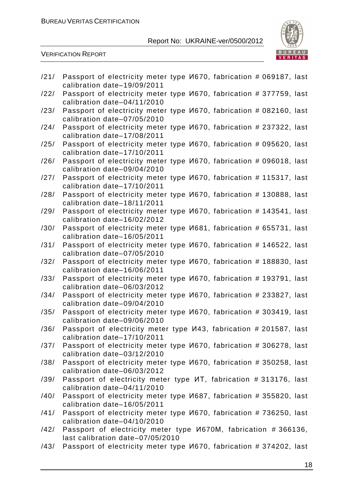

VERIFICATION REPORT

| /21/ | Passport of electricity meter type <i>V</i> 670, fabrication # 069187, last<br>calibration date-19/09/2011 |
|------|------------------------------------------------------------------------------------------------------------|
| /22/ | Passport of electricity meter type <i>V</i> 670, fabrication # 377759, last<br>calibration date-04/11/2010 |
| /23/ | Passport of electricity meter type <i>V</i> 670, fabrication # 082160, last                                |
| /24/ | calibration date-07/05/2010<br>Passport of electricity meter type <i>V</i> 670, fabrication # 237322, last |
|      | calibration date-17/08/2011                                                                                |
| /25/ | Passport of electricity meter type <i>V</i> 670, fabrication # 095620, last<br>calibration date-17/10/2011 |
| /26/ | Passport of electricity meter type <i>V</i> 670, fabrication # 096018, last<br>calibration date-09/04/2010 |
| /27/ | Passport of electricity meter type <i>V</i> 670, fabrication # 115317, last<br>calibration date-17/10/2011 |
| /28/ | Passport of electricity meter type <i>V</i> 670, fabrication # 130888, last                                |
|      | calibration date-18/11/2011                                                                                |
| /29/ | Passport of electricity meter type <i>V</i> 670, fabrication # 143541, last<br>calibration date-16/02/2012 |
| /30/ | Passport of electricity meter type <i>V</i> 681, fabrication # 655731, last                                |
| /31/ | calibration date-16/05/2011<br>Passport of electricity meter type <i>V</i> 670, fabrication # 146522, last |
|      | calibration date-07/05/2010                                                                                |
| /32/ | Passport of electricity meter type <i>V</i> 670, fabrication # 188830, last<br>calibration date-16/06/2011 |
| /33/ | Passport of electricity meter type <i>V</i> 670, fabrication # 193791, last                                |
|      | calibration date-06/03/2012                                                                                |
| /34/ | Passport of electricity meter type <i>V</i> 670, fabrication # 233827, last<br>calibration date-09/04/2010 |
| /35/ | Passport of electricity meter type <i>V</i> 670, fabrication # 303419, last                                |
|      | calibration date-09/06/2010                                                                                |
| /36/ | Passport of electricity meter type V43, fabrication # 201587, last<br>calibration date-17/10/2011          |
| /37/ | Passport of electricity meter type $M670$ , fabrication # 306278, last                                     |
|      | calibration date-03/12/2010                                                                                |
| /38/ | Passport of electricity meter type $M670$ , fabrication # 350258, last                                     |
| /39/ | calibration date-06/03/2012<br>Passport of electricity meter type <i>MT</i> , fabrication #313176, last    |
|      | calibration date-04/11/2010                                                                                |
| /40/ | Passport of electricity meter type $M687$ , fabrication # 355820, last                                     |
|      | calibration date-16/05/2011                                                                                |
| /41/ | Passport of electricity meter type <i>V</i> 670, fabrication #736250, last<br>calibration date-04/10/2010  |
| /42/ | Passport of electricity meter type <i>V</i> 670M, fabrication #366136,                                     |
|      | last calibration date-07/05/2010                                                                           |
| /43/ | Passport of electricity meter type <i>V</i> 670, fabrication # 374202, last                                |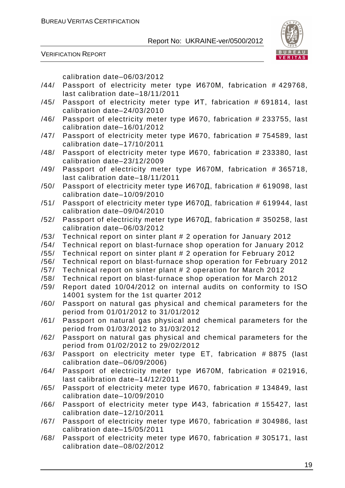VERIFICATION REPORT



calibration date–06/03/2012

- /44/ Passport of electricity meter type И670М, fabrication # 429768, last calibration date–18/11/2011
- /45/ Passport of electricity meter type ИТ, fabrication # 691814, last calibration date–24/03/2010
- /46/ Passport of electricity meter type И670, fabrication # 233755, last calibration date–16/01/2012
- /47/ Passport of electricity meter type И670, fabrication # 754589, last calibration date–17/10/2011
- /48/ Passport of electricity meter type И670, fabrication # 233380, last calibration date–23/12/2009
- /49/ Passport of electricity meter type И670М, fabrication # 365718, last calibration date–18/11/2011
- /50/ Passport of electricity meter type И670Д, fabrication # 619098, last calibration date–10/09/2010
- /51/ Passport of electricity meter type И670Д, fabrication # 619944, last calibration date–09/04/2010
- /52/ Passport of electricity meter type И670Д, fabrication # 350258, last calibration date–06/03/2012
- /53/ Technical report on sinter plant # 2 operation for January 2012
- /54/ Technical report on blast-furnace shop operation for January 2012
- /55/ Technical report on sinter plant # 2 operation for February 2012
- /56/ Technical report on blast-furnace shop operation for February 2012
- /57/ Technical report on sinter plant # 2 operation for March 2012
- /58/ Technical report on blast-furnace shop operation for March 2012
- /59/ Report dated 10/04/2012 on internal audits on conformity to ISO 14001 system for the 1st quarter 2012
- /60/ Passport on natural gas physical and chemical parameters for the period from 01/01/2012 to 31/01/2012
- /61/ Passport on natural gas physical and chemical parameters for the period from 01/03/2012 to 31/03/2012
- /62/ Passport on natural gas physical and chemical parameters for the period from 01/02/2012 to 29/02/2012
- /63/ Passport on electricity meter type ET, fabrication # 8875 (last calibration date–06/09/2006)
- /64/ Passport of electricity meter type И670М, fabrication # 021916, last calibration date–14/12/2011
- /65/ Passport of electricity meter type И670, fabrication # 134849, last calibration date–10/09/2010
- /66/ Passport of electricity meter type И43, fabrication # 155427, last calibration date–12/10/2011
- /67/ Passport of electricity meter type И670, fabrication # 304986, last calibration date–15/05/2011
- /68/ Passport of electricity meter type И670, fabrication # 305171, last calibration date–08/02/2012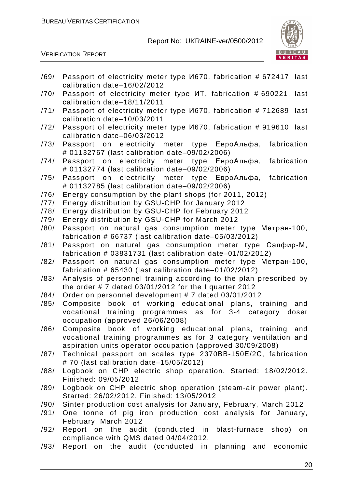

VERIFICATION REPORT

/69/ Passport of electricity meter type И670, fabrication # 672417, last calibration date–16/02/2012 /70/ Passport of electricity meter type ИТ, fabrication # 690221, last calibration date–18/11/2011 /71/ Passport of electricity meter type И670, fabrication # 712689, last calibration date–10/03/2011 /72/ Passport of electricity meter type И670, fabrication # 919610, last calibration date–06/03/2012 /73/ Passport on electricity meter type ЕвроАльфа, fabrication # 01132767 (last calibration date–09/02/2006) /74/ Passport on electricity meter type ЕвроАльфа, fabrication # 01132774 (last calibration date–09/02/2006) /75/ Passport on electricity meter type ЕвроАльфа, fabrication # 01132785 (last calibration date–09/02/2006) /76/ Energy consumption by the plant shops (for 2011, 2012) /77/ Energy distribution by GSU-CHP for January 2012 /78/ Energy distribution by GSU-CHP for February 2012 /79/ Energy distribution by GSU-CHP for March 2012 /80/ Passport on natural gas consumption meter type Метран-100, fabrication # 66737 (last calibration date–05/03/2012) /81/ Passport on natural gas consumption meter type Сапфир-М, fabrication # 03831731 (last calibration date–01/02/2012) /82/ Passport on natural gas consumption meter type Метран-100, fabrication # 65430 (last calibration date–01/02/2012) /83/ Analysis of personnel training according to the plan prescribed by the order # 7 dated 03/01/2012 for the I quarter 2012 /84/ Order on personnel development # 7 dated 03/01/2012 /85/ Composite book of working educational plans, training and vocational training programmes as for 3-4 category doser occupation (approved 26/06/2008) /86/ Composite book of working educational plans, training and vocational training programmes as for 3 category ventilation and aspiration units operator occupation (approved 30/09/2008) /87/ Technical passport on scales type 2370ВВ-150Е/2С, fabrication # 70 (last calibration date–15/05/2012) /88/ Logbook on CHP electric shop operation. Started: 18/02/2012. Finished: 09/05/2012 /89/ Logbook on CHP electric shop operation (steam-air power plant). Started: 26/02/2012. Finished: 13/05/2012 /90/ Sinter production cost analysis for January, February, March 2012 /91/ One tonne of pig iron production cost analysis for January, February, March 2012 /92/ Report on the audit (conducted in blast-furnace shop) on compliance with QMS dated 04/04/2012. /93/ Report on the audit (conducted in planning and economic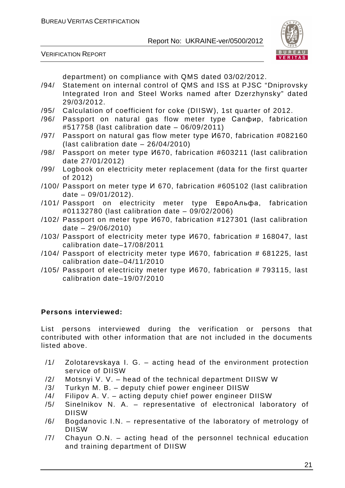VERIFICATION REPORT



department) on compliance with QMS dated 03/02/2012.

- /94/ Statement on internal control of QMS and ISS at PJSC "Dniprovsky Integrated Iron and Steel Works named after Dzerzhynsky" dated 29/03/2012.
- /95/ Calculation of coefficient for coke (DIISW), 1st quarter of 2012.
- /96/ Passport on natural gas flow meter type Сапфир, fabrication #517758 (last calibration date – 06/09/2011)
- /97/ Passport on natural gas flow meter type И670, fabrication #082160 (last calibration date – 26/04/2010)
- /98/ Passport on meter type И670, fabrication #603211 (last calibration date 27/01/2012)
- /99/ Logbook on electricity meter replacement (data for the first quarter of 2012)
- /100/ Passport on meter type И 670, fabrication #605102 (last calibration date – 09/01/2012).
- /101/ Passport on electricity meter type ЕвроАльфа, fabrication #01132780 (last calibration date – 09/02/2006)
- /102/ Passport on meter type И670, fabrication #127301 (last calibration date – 29/06/2010)
- /103/ Passport of electricity meter type И670, fabrication # 168047, last calibration date–17/08/2011
- /104/ Passport of electricity meter type И670, fabrication # 681225, last calibration date–04/11/2010
- /105/ Passport of electricity meter type И670, fabrication # 793115, last calibration date–19/07/2010

#### **Persons interviewed:**

List persons interviewed during the verification or persons that contributed with other information that are not included in the documents listed above.

- /1/ Zolotarevskaya I. G. acting head of the environment protection service of DIISW
- /2/ Motsnyi V. V. head of the technical department DIISW W
- /3/ Turkyn M. B. deputy chief power engineer DIISW
- /4/ Filipov A. V. acting deputy chief power engineer DIISW
- /5/ Sinelnikov N. A. representative of electronical laboratory of DIISW
- /6/ Bogdanovic I.N. representative of the laboratory of metrology of DIISW
- /7/ Chayun O.N. acting head of the personnel technical education and training department of DIISW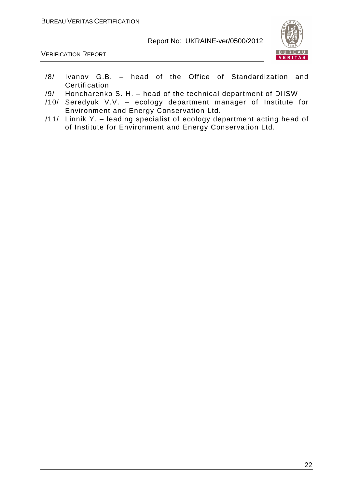

VERIFICATION REPORT

- /8/ Ivanov G.B. head of the Office of Standardization and **Certification**
- /9/ Honcharenko S. H. head of the technical department of DIISW
- /10/ Seredyuk V.V. ecology department manager of Institute for Environment and Energy Conservation Ltd.
- /11/ Linnik Y. leading specialist of ecology department acting head of of Institute for Environment and Energy Conservation Ltd.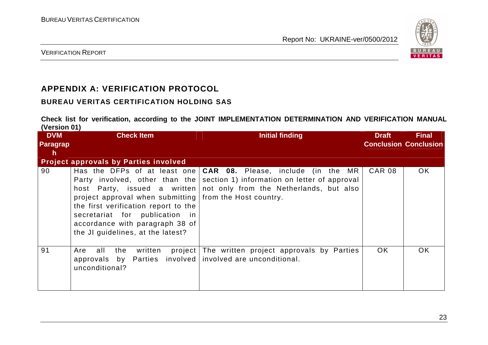

VERIFICATION REPORT

# **APPENDIX A: VERIFICATION PROTOCOL**

#### **BUREAU VERITAS CERTIFICATION HOLDING SAS**

**Check list for verification, according to the JOINT IMPLEMENTATION DETERMINATION AND VERIFICATION MANUAL (Version 01)** 

| , <i>.</i><br><b>DVM</b><br><b>Paragrap</b><br><b>h</b> | <b>Check Item</b>                                                                                                                                                                                         | <b>Initial finding</b>                                                                                                                                                                                                    | <b>Draft</b><br><b>Conclusion Conclusion</b> | <b>Final</b> |
|---------------------------------------------------------|-----------------------------------------------------------------------------------------------------------------------------------------------------------------------------------------------------------|---------------------------------------------------------------------------------------------------------------------------------------------------------------------------------------------------------------------------|----------------------------------------------|--------------|
|                                                         | <b>Project approvals by Parties involved</b>                                                                                                                                                              |                                                                                                                                                                                                                           |                                              |              |
| 90                                                      | project approval when submitting from the Host country.<br>the first verification report to the<br>secretariat for publication in<br>accordance with paragraph 38 of<br>the JI guidelines, at the latest? | Has the DFPs of at least one $ CAR$ 08. Please, include (in the MR<br>Party involved, other than the section 1) information on letter of approval<br>host Party, issued a written not only from the Netherlands, but also | <b>CAR 08</b>                                | OK.          |
| 91                                                      | all<br>written<br>Are<br>the<br>approvals by Parties involved involved are unconditional.<br>unconditional?                                                                                               | project The written project approvals by Parties                                                                                                                                                                          | OK.                                          | OK.          |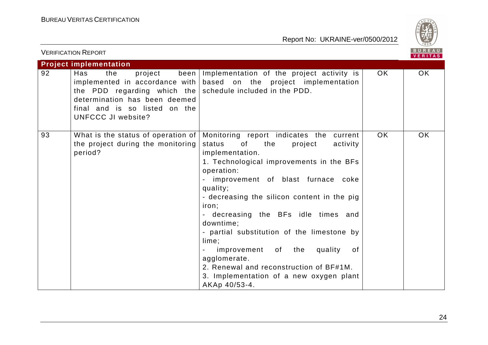

|    | <b>VERIFICATION REPORT</b>                                                                                                                                                        |                                                                                                                                                                                                                                                                                                                                                                                                                                                                                                                                                                  |     | BUREAU<br><b>VERITAS</b> |
|----|-----------------------------------------------------------------------------------------------------------------------------------------------------------------------------------|------------------------------------------------------------------------------------------------------------------------------------------------------------------------------------------------------------------------------------------------------------------------------------------------------------------------------------------------------------------------------------------------------------------------------------------------------------------------------------------------------------------------------------------------------------------|-----|--------------------------|
|    | <b>Project implementation</b>                                                                                                                                                     |                                                                                                                                                                                                                                                                                                                                                                                                                                                                                                                                                                  |     |                          |
| 92 | Has<br>the<br>project<br>the PDD regarding which the schedule included in the PDD.<br>determination has been deemed<br>final and is so listed on the<br><b>UNFCCC JI website?</b> | been Implementation of the project activity is<br>implemented in accordance with $\vert$ based on the project implementation                                                                                                                                                                                                                                                                                                                                                                                                                                     | OK. | OK.                      |
| 93 | What is the status of operation of $ $<br>the project during the monitoring<br>period?                                                                                            | Monitoring report indicates the current<br>status<br>of the control<br>the<br>project<br>activity<br>implementation.<br>1. Technological improvements in the BFs<br>operation:<br>improvement of blast furnace coke<br>quality;<br>- decreasing the silicon content in the pig<br>iron;<br>- decreasing the BFs idle times and<br>downtime;<br>- partial substitution of the limestone by<br>lime;<br>improvement of the<br>quality<br>of<br>agglomerate.<br>2. Renewal and reconstruction of BF#1M.<br>3. Implementation of a new oxygen plant<br>AKAp 40/53-4. | OK. | <b>OK</b>                |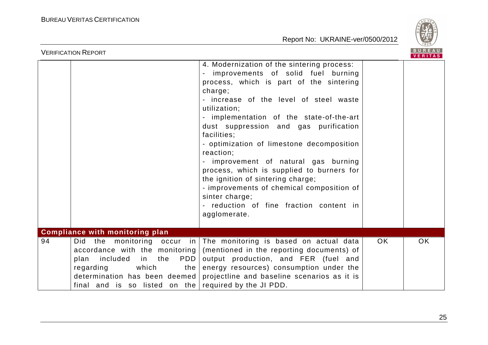

| BUREAU<br><b>VERIFICATION REPORT</b>                                                                                                                     |                                                                                                                                                                                                                                                                                                                                                                                                                                                                                                                                                                                                                    |  |  |  |  |  |
|----------------------------------------------------------------------------------------------------------------------------------------------------------|--------------------------------------------------------------------------------------------------------------------------------------------------------------------------------------------------------------------------------------------------------------------------------------------------------------------------------------------------------------------------------------------------------------------------------------------------------------------------------------------------------------------------------------------------------------------------------------------------------------------|--|--|--|--|--|
|                                                                                                                                                          | 4. Modernization of the sintering process:<br>improvements of solid fuel burning<br>process, which is part of the sintering<br>charge;<br>- increase of the level of steel waste<br>utilization;<br>- implementation of the state-of-the-art<br>dust suppression and gas purification<br>facilities;<br>- optimization of limestone decomposition<br>reaction;<br>- improvement of natural gas burning<br>process, which is supplied to burners for<br>the ignition of sintering charge;<br>- improvements of chemical composition of<br>sinter charge;<br>- reduction of fine fraction content in<br>agglomerate. |  |  |  |  |  |
| <b>Compliance with monitoring plan</b>                                                                                                                   |                                                                                                                                                                                                                                                                                                                                                                                                                                                                                                                                                                                                                    |  |  |  |  |  |
| 94<br>Did the monitoring occur in<br>accordance with the monitoring<br>in the<br>included<br>plan<br>regarding<br>which<br>determination has been deemed | The monitoring is based on actual data<br>OK.<br>OK.<br>(mentioned in the reporting documents) of<br>output production, and FER (fuel and<br><b>PDD</b><br>energy resources) consumption under the<br>the<br>projectline and baseline scenarios as it is<br>final and is so listed on the required by the JI PDD.                                                                                                                                                                                                                                                                                                  |  |  |  |  |  |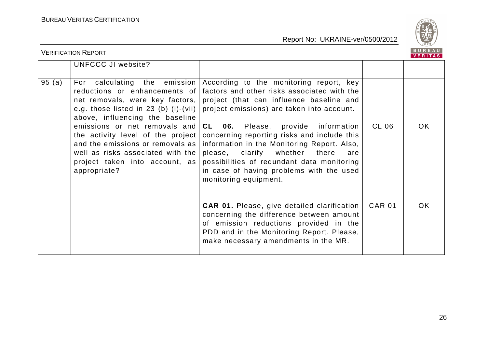

|       | <b>VERIFICATION REPORT</b>                                                                                                                                       |                                                                                                                                                                                                                                                                                                                                |               | BUREAU<br><u>VE</u> RITAS |
|-------|------------------------------------------------------------------------------------------------------------------------------------------------------------------|--------------------------------------------------------------------------------------------------------------------------------------------------------------------------------------------------------------------------------------------------------------------------------------------------------------------------------|---------------|---------------------------|
|       | UNFCCC JI website?                                                                                                                                               |                                                                                                                                                                                                                                                                                                                                |               |                           |
| 95(a) | e.g. those listed in 23 (b) (i)-(vii) $\vert$<br>above, influencing the baseline                                                                                 | For calculating the emission According to the monitoring report, key<br>reductions or enhancements of factors and other risks associated with the<br>net removals, were key factors, project (that can influence baseline and<br>project emissions) are taken into account.                                                    |               |                           |
|       | the activity level of the project $ $<br>and the emissions or removals as<br>well as risks associated with the<br>project taken into account, as<br>appropriate? | emissions or net removals and $CL$ 06. Please, provide information<br>concerning reporting risks and include this<br>information in the Monitoring Report. Also,<br>please, clarify whether<br>there<br>are<br>possibilities of redundant data monitoring<br>in case of having problems with the used<br>monitoring equipment. | CL 06         | <b>OK</b>                 |
|       |                                                                                                                                                                  | <b>CAR 01.</b> Please, give detailed clarification<br>concerning the difference between amount<br>of emission reductions provided in the<br>PDD and in the Monitoring Report. Please,<br>make necessary amendments in the MR.                                                                                                  | <b>CAR 01</b> | <b>OK</b>                 |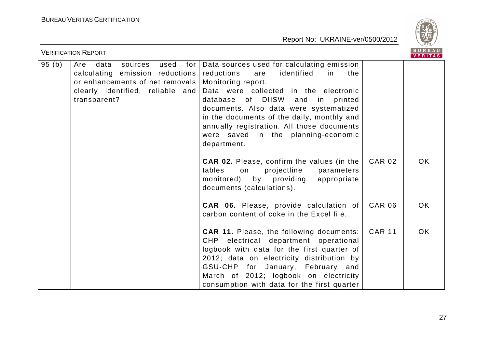

| <b>VERIFICATION REPORT</b> |                                                                                                                                                          |                                                                                                                                                                                                                                                                                                                                                                                                          |               | <b>BUREAU</b><br><b>VERITAS</b> |
|----------------------------|----------------------------------------------------------------------------------------------------------------------------------------------------------|----------------------------------------------------------------------------------------------------------------------------------------------------------------------------------------------------------------------------------------------------------------------------------------------------------------------------------------------------------------------------------------------------------|---------------|---------------------------------|
| 95(b)                      | used<br>Are<br>data<br>sources<br>calculating emission reductions<br>or enhancements of net removals<br>clearly identified, reliable and<br>transparent? | for   Data sources used for calculating emission<br>identified<br>reductions<br>the<br>are<br>in<br>Monitoring report.<br>Data were collected in the electronic<br>database of DIISW<br>and<br>in<br>printed<br>documents. Also data were systematized<br>in the documents of the daily, monthly and<br>annually registration. All those documents<br>were saved in the planning-economic<br>department. |               |                                 |
|                            |                                                                                                                                                          | <b>CAR 02.</b> Please, confirm the values (in the<br>projectline<br>tables<br>on<br>parameters<br>monitored) by providing<br>appropriate<br>documents (calculations).                                                                                                                                                                                                                                    | <b>CAR 02</b> | OK                              |
|                            |                                                                                                                                                          | <b>CAR 06.</b> Please, provide calculation of<br>carbon content of coke in the Excel file.                                                                                                                                                                                                                                                                                                               | <b>CAR 06</b> | OK.                             |
|                            |                                                                                                                                                          | <b>CAR 11.</b> Please, the following documents:<br>CHP electrical department operational<br>logbook with data for the first quarter of<br>2012; data on electricity distribution by<br>GSU-CHP for January, February and<br>March of 2012; logbook on electricity<br>consumption with data for the first quarter                                                                                         | <b>CAR 11</b> | <b>OK</b>                       |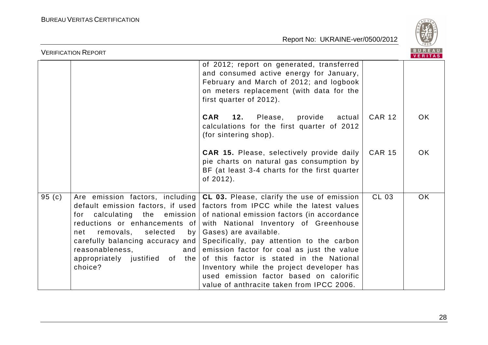

| B U R E A U  <br><b>VERIFICATION REPORT</b><br><b>VERITAS</b> |                                                                                                                                                                                                                          |                                                                                                                                                                                                                                                                                                                                                                                                                                                                                                                                                            |               |     |
|---------------------------------------------------------------|--------------------------------------------------------------------------------------------------------------------------------------------------------------------------------------------------------------------------|------------------------------------------------------------------------------------------------------------------------------------------------------------------------------------------------------------------------------------------------------------------------------------------------------------------------------------------------------------------------------------------------------------------------------------------------------------------------------------------------------------------------------------------------------------|---------------|-----|
|                                                               |                                                                                                                                                                                                                          | of 2012; report on generated, transferred<br>and consumed active energy for January,<br>February and March of 2012; and logbook<br>on meters replacement (with data for the<br>first quarter of 2012).                                                                                                                                                                                                                                                                                                                                                     |               |     |
|                                                               |                                                                                                                                                                                                                          | <b>CAR</b><br>12.<br>Please,<br>provide<br>actual<br>calculations for the first quarter of 2012<br>(for sintering shop).                                                                                                                                                                                                                                                                                                                                                                                                                                   | <b>CAR 12</b> | OK. |
|                                                               |                                                                                                                                                                                                                          | <b>CAR 15.</b> Please, selectively provide daily<br>pie charts on natural gas consumption by<br>BF (at least 3-4 charts for the first quarter<br>of 2012).                                                                                                                                                                                                                                                                                                                                                                                                 | <b>CAR 15</b> | OK. |
| 95(c)                                                         | for calculating the emission<br>reductions or enhancements of<br>removals, selected<br>by <sub>l</sub><br>net<br>carefully balancing accuracy and<br>reasonableness,<br>and<br>appropriately justified of the<br>choice? | Are emission factors, including $ CL 03$ . Please, clarify the use of emission<br>default emission factors, if used factors from IPCC while the latest values<br>of national emission factors (in accordance<br>with National Inventory of Greenhouse<br>Gases) are available.<br>Specifically, pay attention to the carbon<br>emission factor for coal as just the value<br>of this factor is stated in the National<br>Inventory while the project developer has<br>used emission factor based on calorific<br>value of anthracite taken from IPCC 2006. | CL 03         | OK. |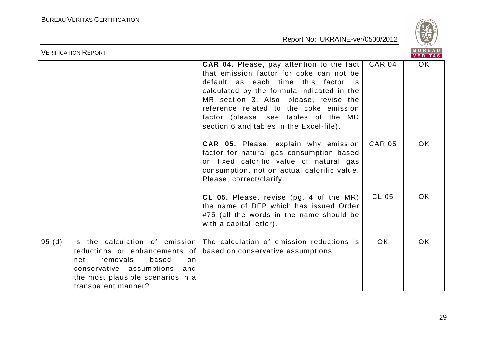

|       | <b>BUREAU</b><br><b>VERIFICATION REPORT</b><br><b>VERITAS</b>                                                                                                                                     |                                                                                                                                                                                                                                                                                                                                                    |               |           |
|-------|---------------------------------------------------------------------------------------------------------------------------------------------------------------------------------------------------|----------------------------------------------------------------------------------------------------------------------------------------------------------------------------------------------------------------------------------------------------------------------------------------------------------------------------------------------------|---------------|-----------|
|       |                                                                                                                                                                                                   | CAR 04. Please, pay attention to the fact<br>that emission factor for coke can not be<br>default as each time this factor is<br>calculated by the formula indicated in the<br>MR section 3. Also, please, revise the<br>reference related to the coke emission<br>factor (please, see tables of the MR<br>section 6 and tables in the Excel-file). | <b>CAR 04</b> | <b>OK</b> |
|       |                                                                                                                                                                                                   | <b>CAR 05.</b> Please, explain why emission<br>factor for natural gas consumption based<br>on fixed calorific value of natural gas<br>consumption, not on actual calorific value.<br>Please, correct/clarify.                                                                                                                                      | <b>CAR 05</b> | OK        |
|       |                                                                                                                                                                                                   | CL 05. Please, revise (pg. 4 of the MR)<br>the name of DFP which has issued Order<br>#75 (all the words in the name should be<br>with a capital letter).                                                                                                                                                                                           | CL 05         | OK.       |
| 95(d) | Is the calculation of emission<br>reductions or enhancements of<br>removals<br>based<br>net<br>on.<br>conservative assumptions<br>and<br>the most plausible scenarios in a<br>transparent manner? | The calculation of emission reductions is<br>based on conservative assumptions.                                                                                                                                                                                                                                                                    | OK.           | <b>OK</b> |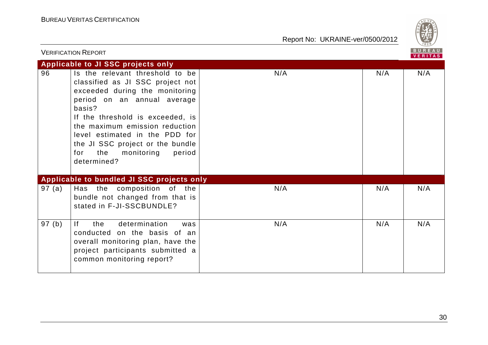

|        | <b>VERIFICATION REPORT</b>                                                                                                                                                                                                                                                                                                                      |     |     | BUREAU<br><b>VERITAS</b> |
|--------|-------------------------------------------------------------------------------------------------------------------------------------------------------------------------------------------------------------------------------------------------------------------------------------------------------------------------------------------------|-----|-----|--------------------------|
|        | Applicable to JI SSC projects only                                                                                                                                                                                                                                                                                                              |     |     |                          |
| 96     | Is the relevant threshold to be<br>classified as JI SSC project not<br>exceeded during the monitoring<br>period on an annual average<br>basis?<br>If the threshold is exceeded, is<br>the maximum emission reduction<br>level estimated in the PDD for<br>the JI SSC project or the bundle<br>the<br>monitoring<br>period<br>for<br>determined? | N/A | N/A | N/A                      |
|        | Applicable to bundled JI SSC projects only                                                                                                                                                                                                                                                                                                      |     |     |                          |
| 97 (a) | Has the composition of the<br>bundle not changed from that is<br>stated in F-JI-SSCBUNDLE?                                                                                                                                                                                                                                                      | N/A | N/A | N/A                      |
| 97 (b) | determination<br>the<br>lf.<br>was<br>conducted on the basis of an<br>overall monitoring plan, have the<br>project participants submitted a<br>common monitoring report?                                                                                                                                                                        | N/A | N/A | N/A                      |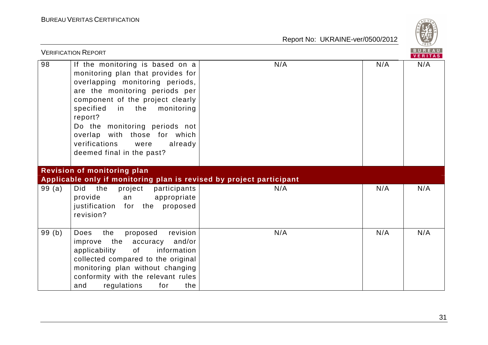

|       | <b>VERIFICATION REPORT</b>                                                                                                                                                                                                                                                                                                                                   |     |     | BUREAU<br><b>VERITAS</b> |
|-------|--------------------------------------------------------------------------------------------------------------------------------------------------------------------------------------------------------------------------------------------------------------------------------------------------------------------------------------------------------------|-----|-----|--------------------------|
| 98    | If the monitoring is based on a<br>monitoring plan that provides for<br>overlapping monitoring periods,<br>are the monitoring periods per<br>component of the project clearly<br>specified<br>in the monitoring<br>report?<br>Do the monitoring periods not<br>overlap with those for which<br>verifications<br>already<br>were<br>deemed final in the past? | N/A | N/A | N/A                      |
|       | <b>Revision of monitoring plan</b><br>Applicable only if monitoring plan is revised by project participant                                                                                                                                                                                                                                                   |     |     |                          |
| 99(a) | Did the<br>project<br>participants<br>appropriate<br>provide<br>an<br>for the proposed<br>justification<br>revision?                                                                                                                                                                                                                                         | N/A | N/A | N/A                      |
| 99(b) | revision<br>the<br>proposed<br>Does<br>the<br>and/or<br>accuracy<br>improve<br>applicability<br>information<br>of<br>collected compared to the original<br>monitoring plan without changing<br>conformity with the relevant rules<br>and<br>regulations<br>for<br>the                                                                                        | N/A | N/A | N/A                      |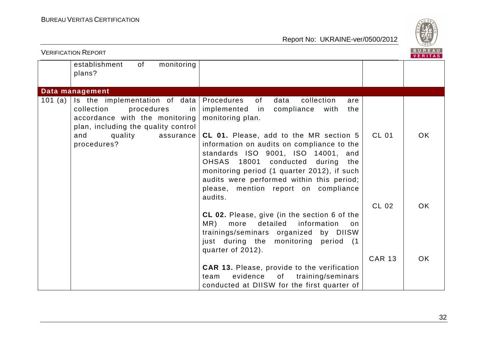

|           | <b>VERIFICATION REPORT</b>                                                                                                                      |                                                                                                                                                                                                                                                                                                                  |               | BUREAU<br><b>VERITAS</b> |
|-----------|-------------------------------------------------------------------------------------------------------------------------------------------------|------------------------------------------------------------------------------------------------------------------------------------------------------------------------------------------------------------------------------------------------------------------------------------------------------------------|---------------|--------------------------|
|           | monitoring<br>establishment<br>of<br>plans?                                                                                                     |                                                                                                                                                                                                                                                                                                                  |               |                          |
|           | Data management                                                                                                                                 |                                                                                                                                                                                                                                                                                                                  |               |                          |
| 101 $(a)$ | Is the implementation of data   Procedures<br>collection<br>procedures<br>accordance with the monitoring<br>plan, including the quality control | collection<br>of<br>data<br>are<br>in   implemented<br>in<br>compliance<br>with<br>the<br>monitoring plan.                                                                                                                                                                                                       |               |                          |
|           | quality<br>and<br>assurance<br>procedures?                                                                                                      | CL 01. Please, add to the MR section 5<br>information on audits on compliance to the<br>standards ISO 9001, ISO 14001, and<br>OHSAS 18001 conducted during<br>the<br>monitoring period (1 quarter 2012), if such<br>audits were performed within this period;<br>please, mention report on compliance<br>audits. | <b>CL 01</b>  | <b>OK</b>                |
|           |                                                                                                                                                 | CL 02. Please, give (in the section 6 of the<br>detailed<br>information<br>MR)<br>more<br>on<br>trainings/seminars organized by DIISW<br>just during the monitoring period (1<br>quarter of 2012).                                                                                                               | <b>CL 02</b>  | <b>OK</b>                |
|           |                                                                                                                                                 | <b>CAR 13.</b> Please, provide to the verification<br>evidence<br>of<br>training/seminars<br>team<br>conducted at DIISW for the first quarter of                                                                                                                                                                 | <b>CAR 13</b> | OK.                      |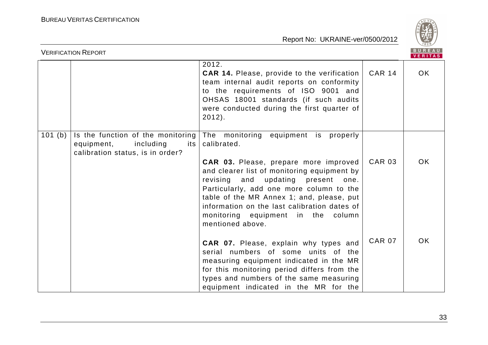

|         | <b>VERIFICATION REPORT</b>                                                                              |                                                                                                                                                                                                                                                                                                                                                                                      |               | <b>BUREAU</b><br>VERITAS |
|---------|---------------------------------------------------------------------------------------------------------|--------------------------------------------------------------------------------------------------------------------------------------------------------------------------------------------------------------------------------------------------------------------------------------------------------------------------------------------------------------------------------------|---------------|--------------------------|
|         |                                                                                                         | 2012.<br><b>CAR 14.</b> Please, provide to the verification<br>team internal audit reports on conformity<br>to the requirements of ISO 9001 and<br>OHSAS 18001 standards (if such audits<br>were conducted during the first quarter of<br>$2012$ ).                                                                                                                                  | <b>CAR 14</b> | OK.                      |
| 101 (b) | Is the function of the monitoring<br>including<br>equipment,<br>its<br>calibration status, is in order? | The monitoring equipment is properly<br>calibrated.<br>CAR 03. Please, prepare more improved<br>and clearer list of monitoring equipment by<br>revising and updating present one.<br>Particularly, add one more column to the<br>table of the MR Annex 1; and, please, put<br>information on the last calibration dates of<br>monitoring equipment in the column<br>mentioned above. | <b>CAR 03</b> | OK.                      |
|         |                                                                                                         | CAR 07. Please, explain why types and<br>serial numbers of some units of the<br>measuring equipment indicated in the MR<br>for this monitoring period differs from the<br>types and numbers of the same measuring<br>equipment indicated in the MR for the                                                                                                                           | <b>CAR 07</b> | <b>OK</b>                |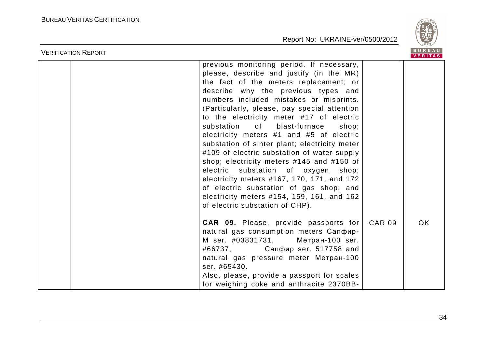

| <b>VERIFICATION REPORT</b> |                                                                                                                                                                                                                                                                                                                                                                                                                                                                                                                                                                                                                                                                                                                                                                                                                                                                                    |               | BUREAU<br><b>VERITAS</b> |
|----------------------------|------------------------------------------------------------------------------------------------------------------------------------------------------------------------------------------------------------------------------------------------------------------------------------------------------------------------------------------------------------------------------------------------------------------------------------------------------------------------------------------------------------------------------------------------------------------------------------------------------------------------------------------------------------------------------------------------------------------------------------------------------------------------------------------------------------------------------------------------------------------------------------|---------------|--------------------------|
|                            | previous monitoring period. If necessary,<br>please, describe and justify (in the MR)<br>the fact of the meters replacement; or<br>describe why the previous types and<br>numbers included mistakes or misprints.<br>(Particularly, please, pay special attention<br>to the electricity meter #17 of electric<br>of the set of the set of the set of the set of the set of the set of the set of the set of the set of the set o<br>substation<br>blast-furnace<br>shop;<br>electricity meters #1 and #5 of electric<br>substation of sinter plant; electricity meter<br>#109 of electric substation of water supply<br>shop; electricity meters #145 and #150 of<br>electric substation of oxygen shop;<br>electricity meters #167, 170, 171, and 172<br>of electric substation of gas shop; and<br>electricity meters #154, 159, 161, and 162<br>of electric substation of CHP). |               |                          |
|                            | CAR 09. Please, provide passports for<br>natural gas consumption meters Canoup-<br>M ser. #03831731, Метран-100 ser.<br>#66737, Сапфир ser. 517758 and<br>natural gas pressure meter Merpan-100<br>ser. #65430.<br>Also, please, provide a passport for scales<br>for weighing coke and anthracite 2370BB-                                                                                                                                                                                                                                                                                                                                                                                                                                                                                                                                                                         | <b>CAR 09</b> | OK.                      |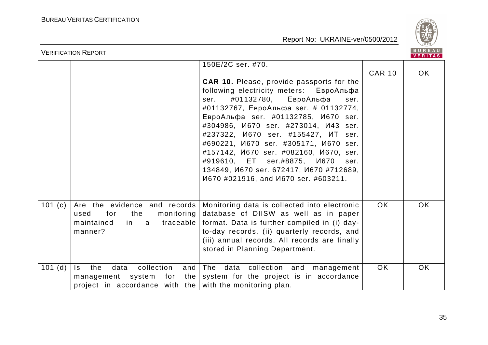

|           | <b>VERIFICATION REPORT</b>                                                                                            |                                                                                                                                                                                                                                                                                                                                                                                                                                                                                                                                                                                                 |               |                |
|-----------|-----------------------------------------------------------------------------------------------------------------------|-------------------------------------------------------------------------------------------------------------------------------------------------------------------------------------------------------------------------------------------------------------------------------------------------------------------------------------------------------------------------------------------------------------------------------------------------------------------------------------------------------------------------------------------------------------------------------------------------|---------------|----------------|
|           |                                                                                                                       | 150E/2C ser. #70.<br><b>CAR 10.</b> Please, provide passports for the<br>following electricity meters: ЕвроАльфа<br>#01132780, ЕвроАльфа<br>ser.<br>ser.<br>#01132767, ЕвроАльфа ser. # 01132774,<br>ЕвроАльфа ser. #01132785, И670 ser.<br>#304986, <i>M670</i> ser. #273014, <i>M43</i> ser.<br>#237322, <i>V</i> 670 ser. #155427, VIT ser.<br>#690221, <i>M670</i> ser. #305171, <i>M670</i> ser.<br>#157142, <i>M670</i> ser. #082160, <i>M670</i> , ser.<br>#919610, ET ser.#8875, И670<br>ser.<br>134849, <i>M670 ser. 672417, M670 #712689,</i><br>И670 #021916, and И670 ser. #603211. | <b>CAR 10</b> | VERITAS<br>OK. |
| 101 $(c)$ | Are the evidence and records<br>for<br>the<br>monitoring<br>used<br>maintained<br>in.<br>a<br>manner?                 | Monitoring data is collected into electronic<br>database of DIISW as well as in paper<br>traceable   format. Data is further compiled in (i) day-<br>to-day records, (ii) quarterly records, and<br>(iii) annual records. All records are finally<br>stored in Planning Department.                                                                                                                                                                                                                                                                                                             | <b>OK</b>     | <b>OK</b>      |
| $101$ (d) | collection<br>data<br>the<br>Is.<br>management system for<br>project in accordance with the with the monitoring plan. | and The data collection and management<br>the system for the project is in accordance                                                                                                                                                                                                                                                                                                                                                                                                                                                                                                           | <b>OK</b>     | OK.            |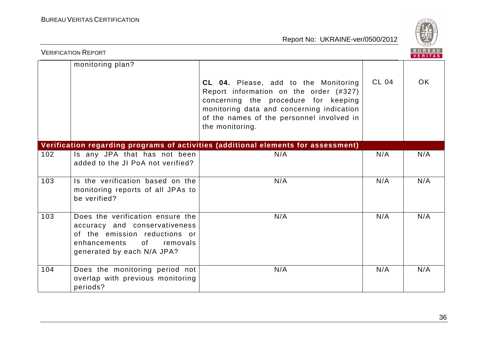

| <b>BUREAU</b><br><b>VERIFICATION REPORT</b><br><b>VERITAS</b> |                                                                                                                                                                    |                                                                                                                                                                                                                                     |              |     |
|---------------------------------------------------------------|--------------------------------------------------------------------------------------------------------------------------------------------------------------------|-------------------------------------------------------------------------------------------------------------------------------------------------------------------------------------------------------------------------------------|--------------|-----|
|                                                               | monitoring plan?                                                                                                                                                   | CL 04. Please, add to the Monitoring<br>Report information on the order (#327)<br>concerning the procedure for keeping<br>monitoring data and concerning indication<br>of the names of the personnel involved in<br>the monitoring. | <b>CL 04</b> | OK. |
|                                                               |                                                                                                                                                                    | Verification regarding programs of activities (additional elements for assessment)                                                                                                                                                  |              |     |
| 102                                                           | Is any JPA that has not been<br>added to the JI PoA not verified?                                                                                                  | N/A                                                                                                                                                                                                                                 | N/A          | N/A |
| 103                                                           | Is the verification based on the<br>monitoring reports of all JPAs to<br>be verified?                                                                              | N/A                                                                                                                                                                                                                                 | N/A          | N/A |
| 103                                                           | Does the verification ensure the<br>accuracy and conservativeness<br>of the emission reductions or<br>of<br>enhancements<br>removals<br>generated by each N/A JPA? | N/A                                                                                                                                                                                                                                 | N/A          | N/A |
| 104                                                           | Does the monitoring period not<br>overlap with previous monitoring<br>periods?                                                                                     | N/A                                                                                                                                                                                                                                 | N/A          | N/A |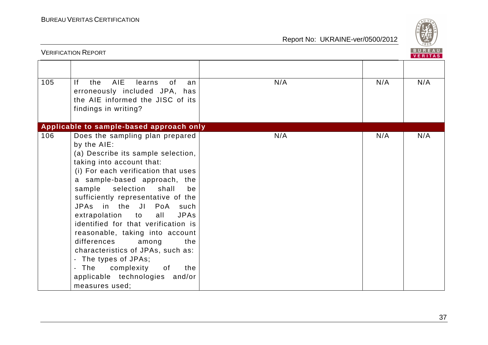

|     | <b>VERIFICATION REPORT</b>                                                                                                                                                                                                                                                                                                                                                                                                                                                                                                                                                                                                 |     |     | <b>BUREAU</b><br><b>VERITAS</b> |
|-----|----------------------------------------------------------------------------------------------------------------------------------------------------------------------------------------------------------------------------------------------------------------------------------------------------------------------------------------------------------------------------------------------------------------------------------------------------------------------------------------------------------------------------------------------------------------------------------------------------------------------------|-----|-----|---------------------------------|
| 105 | AIE<br> f <br>the<br>learns<br>0f<br>an<br>erroneously included JPA, has<br>the AIE informed the JISC of its<br>findings in writing?                                                                                                                                                                                                                                                                                                                                                                                                                                                                                       | N/A | N/A | N/A                             |
|     | Applicable to sample-based approach only                                                                                                                                                                                                                                                                                                                                                                                                                                                                                                                                                                                   |     |     |                                 |
| 106 | Does the sampling plan prepared<br>by the AIE:<br>(a) Describe its sample selection,<br>taking into account that:<br>(i) For each verification that uses<br>a sample-based approach, the<br>sample<br>selection<br>shall<br>be<br>sufficiently representative of the<br>JPAs in the JI PoA<br>such<br>extrapolation to<br><b>JPAs</b><br>all<br>identified for that verification is<br>reasonable, taking into account<br>differences<br>among<br>the<br>characteristics of JPAs, such as:<br>- The types of JPAs;<br>The<br>complexity<br>0f<br>the<br>$\blacksquare$<br>applicable technologies and/or<br>measures used: | N/A | N/A | N/A                             |

37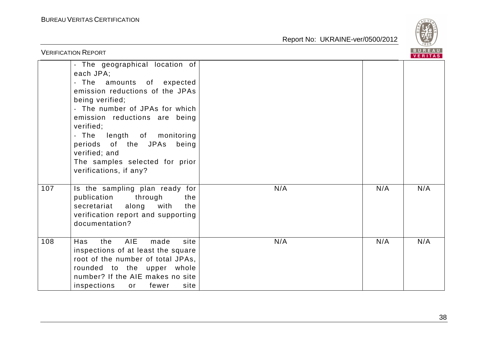

|     | <b>VERIFICATION REPORT</b>                                                                                                                                                                                                                                                                                                                                   |     |     | BUREAU<br><b>VERITAS</b> |
|-----|--------------------------------------------------------------------------------------------------------------------------------------------------------------------------------------------------------------------------------------------------------------------------------------------------------------------------------------------------------------|-----|-----|--------------------------|
|     | - The geographical location of<br>each JPA;<br>- The amounts of expected<br>emission reductions of the JPAs<br>being verified;<br>- The number of JPAs for which<br>emission reductions are being<br>verified;<br>- The<br>length of monitoring<br>periods of the JPAs<br>being<br>verified; and<br>The samples selected for prior<br>verifications, if any? |     |     |                          |
| 107 | Is the sampling plan ready for<br>publication<br>through<br>the<br>along<br>with<br>secretariat<br>the<br>verification report and supporting<br>documentation?                                                                                                                                                                                               | N/A | N/A | N/A                      |
| 108 | <b>AIE</b><br>Has<br>the<br>made<br>site<br>inspections of at least the square<br>root of the number of total JPAs,<br>rounded to the upper whole<br>number? If the AIE makes no site<br>inspections<br>fewer<br>site<br>or                                                                                                                                  | N/A | N/A | N/A                      |
|     |                                                                                                                                                                                                                                                                                                                                                              |     |     | 38                       |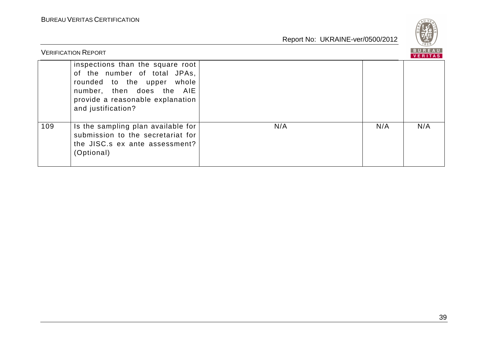

|     | <b>VERIFICATION REPORT</b>                                                                                                                                                            |     |     | <b>VERITAS</b> |
|-----|---------------------------------------------------------------------------------------------------------------------------------------------------------------------------------------|-----|-----|----------------|
|     | inspections than the square root<br>of the number of total JPAs,<br>rounded to the upper whole<br>number, then does the AIE<br>provide a reasonable explanation<br>and justification? |     |     |                |
| 109 | Is the sampling plan available for<br>submission to the secretariat for<br>the JISC s ex ante assessment?<br>(Optional)                                                               | N/A | N/A | N/A            |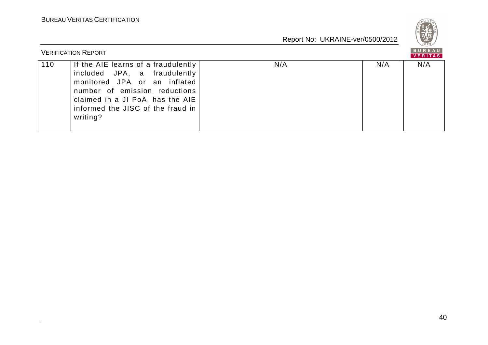

|     | <b>VERIFICATION REPORT</b>                                                                                                                                                                                                |     |     | BUREAU<br><b>VERITAS</b> |
|-----|---------------------------------------------------------------------------------------------------------------------------------------------------------------------------------------------------------------------------|-----|-----|--------------------------|
| 110 | If the AIE learns of a fraudulently<br>included JPA, a fraudulently<br>monitored JPA or an inflated<br>number of emission reductions<br>claimed in a JI PoA, has the AIE<br>informed the JISC of the fraud in<br>writing? | N/A | N/A | N/A                      |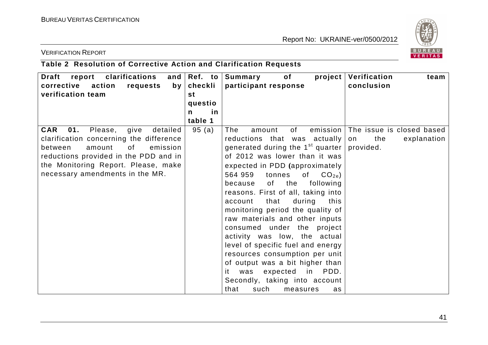

#### VERIFICATION REPORT

# **Table 2 Resolution of Corrective Action and Clarification Requests**

| Draft report clarifications                      | and $\left  \text{Ref. to } \right $ | Summary<br>of                      | project   Verification<br>team       |
|--------------------------------------------------|--------------------------------------|------------------------------------|--------------------------------------|
| corrective action<br>requests<br>by <sub>1</sub> | checkli                              | participant response               | conclusion                           |
| verification team                                | st                                   |                                    |                                      |
|                                                  | questio                              |                                    |                                      |
|                                                  | in<br>n                              |                                    |                                      |
|                                                  | table 1                              |                                    |                                      |
| <b>CAR</b><br>01.<br>Please,<br>give<br>detailed | 95(a)                                | 0f<br>The<br>amount                | emission   The issue is closed based |
| clarification concerning the difference          |                                      | reductions that was actually       | the<br>explanation<br>on             |
| 0f<br>between<br>amount<br>emission              |                                      | generated during the $1st$ quarter | provided.                            |
| reductions provided in the PDD and in            |                                      | of 2012 was lower than it was      |                                      |
| the Monitoring Report. Please, make              |                                      | expected in PDD (approximately     |                                      |
| necessary amendments in the MR.                  |                                      | of $CO2e$ )<br>564 959<br>tonnes   |                                      |
|                                                  |                                      | of the<br>following<br>because     |                                      |
|                                                  |                                      | reasons. First of all, taking into |                                      |
|                                                  |                                      | that<br>during<br>this<br>account  |                                      |
|                                                  |                                      | monitoring period the quality of   |                                      |
|                                                  |                                      | raw materials and other inputs     |                                      |
|                                                  |                                      | consumed under the project         |                                      |
|                                                  |                                      | activity was low, the actual       |                                      |
|                                                  |                                      | level of specific fuel and energy  |                                      |
|                                                  |                                      | resources consumption per unit     |                                      |
|                                                  |                                      | of output was a bit higher than    |                                      |
|                                                  |                                      | was expected in PDD.<br>it         |                                      |
|                                                  |                                      | Secondly, taking into account      |                                      |
|                                                  |                                      | that<br>such<br>measures<br>as     |                                      |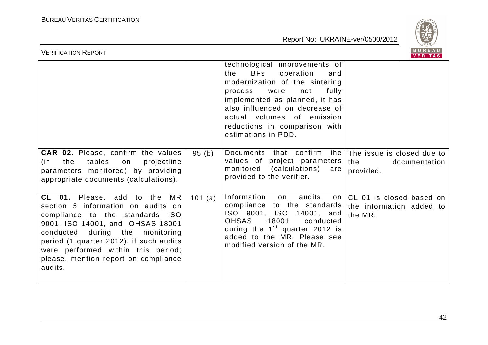

| BUREAU<br><b>VERIFICATION REPORT</b><br>VERITAS                                                                                                                                                                                                                                                                            |         |                                                                                                                                                                                                                                                                                                       |                                                                     |  |  |
|----------------------------------------------------------------------------------------------------------------------------------------------------------------------------------------------------------------------------------------------------------------------------------------------------------------------------|---------|-------------------------------------------------------------------------------------------------------------------------------------------------------------------------------------------------------------------------------------------------------------------------------------------------------|---------------------------------------------------------------------|--|--|
|                                                                                                                                                                                                                                                                                                                            |         | technological improvements of<br><b>BFs</b><br>operation<br>the<br>and<br>modernization of the sintering<br>fully<br>process<br>were<br>not<br>implemented as planned, it has<br>also influenced on decrease of<br>actual volumes of emission<br>reductions in comparison with<br>estimations in PDD. |                                                                     |  |  |
| <b>CAR 02.</b> Please, confirm the values<br>tables<br>projectline<br>(in<br>the<br>on<br>parameters monitored) by providing<br>appropriate documents (calculations).                                                                                                                                                      | 95(b)   | Documents that confirm<br>values of project parameters<br>monitored (calculations)<br>are<br>provided to the verifier.                                                                                                                                                                                | the The issue is closed due to<br>the<br>documentation<br>provided. |  |  |
| <b>CL 01.</b> Please, add to the<br>MR<br>section 5 information on audits on<br>compliance to the standards ISO<br>9001, ISO 14001, and OHSAS 18001<br>conducted during the monitoring<br>period (1 quarter 2012), if such audits<br>were performed within this period;<br>please, mention report on compliance<br>audits. | 101 (a) | Information<br>audits<br>on<br>on <sub>1</sub><br>compliance to the standards<br>ISO 9001, ISO 14001, and<br><b>OHSAS</b><br>18001<br>conducted<br>during the $1st$ quarter 2012 is<br>added to the MR. Please see<br>modified version of the MR.                                                     | CL 01 is closed based on<br>the information added to<br>the MR.     |  |  |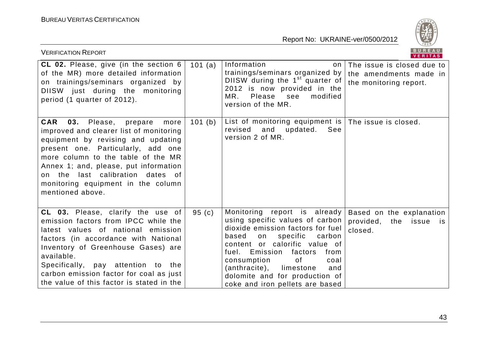

| <b>VERIFICATION REPORT</b>                                                                                                                                                                                                                                                                                                                    |         |                                                                                                                                                                                                                                                                                                                                                        | BUREAU<br>VERITAS                                                                 |
|-----------------------------------------------------------------------------------------------------------------------------------------------------------------------------------------------------------------------------------------------------------------------------------------------------------------------------------------------|---------|--------------------------------------------------------------------------------------------------------------------------------------------------------------------------------------------------------------------------------------------------------------------------------------------------------------------------------------------------------|-----------------------------------------------------------------------------------|
| CL 02. Please, give (in the section 6<br>of the MR) more detailed information<br>on trainings/seminars organized by<br>DIISW just during the monitoring<br>period (1 quarter of 2012).                                                                                                                                                        | 101 (a) | Information<br>trainings/seminars organized by<br>DIISW during the $1st$ quarter of<br>2012 is now provided in the<br>MR.<br>Please see<br>modified<br>version of the MR.                                                                                                                                                                              | on The issue is closed due to<br>the amendments made in<br>the monitoring report. |
| <b>CAR</b><br>03. Please, prepare<br>more<br>improved and clearer list of monitoring<br>equipment by revising and updating<br>present one. Particularly, add one<br>more column to the table of the MR<br>Annex 1; and, please, put information<br>on the last calibration dates of<br>monitoring equipment in the column<br>mentioned above. | 101 (b) | List of monitoring equipment is The issue is closed.<br>and<br>updated.<br>revised<br>See<br>version 2 of MR.                                                                                                                                                                                                                                          |                                                                                   |
| CL 03. Please, clarify the use of<br>emission factors from IPCC while the<br>latest values of national emission<br>factors (in accordance with National<br>Inventory of Greenhouse Gases) are<br>available.<br>Specifically, pay attention to the<br>carbon emission factor for coal as just<br>the value of this factor is stated in the     | 95(c)   | Monitoring report is already<br>using specific values of carbon<br>dioxide emission factors for fuel<br>based<br>specific<br>carbon<br>on<br>content or calorific value of<br>fuel. Emission<br>factors<br>from<br>consumption<br>0f<br>coal<br>(anthracite),<br>limestone<br>and<br>dolomite and for production of<br>coke and iron pellets are based | Based on the explanation<br>provided,<br>issue<br>the<br>is i<br>closed.          |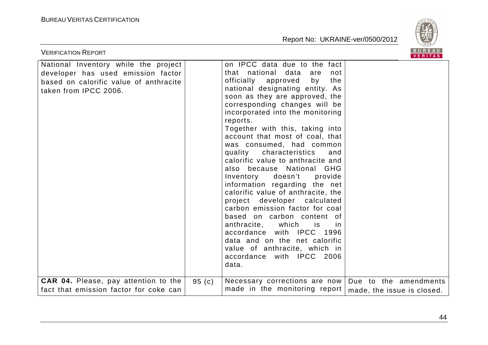

| <b>VERIFICATION REPORT</b>                                                                                                                    |       |                                                                                                                                                                                                                                                                                                                                                                                                                                                                                                                                                                                                                                                                                                                                                                                                                                                          | <b>BUREAU</b><br>VERITAS                            |
|-----------------------------------------------------------------------------------------------------------------------------------------------|-------|----------------------------------------------------------------------------------------------------------------------------------------------------------------------------------------------------------------------------------------------------------------------------------------------------------------------------------------------------------------------------------------------------------------------------------------------------------------------------------------------------------------------------------------------------------------------------------------------------------------------------------------------------------------------------------------------------------------------------------------------------------------------------------------------------------------------------------------------------------|-----------------------------------------------------|
| National Inventory while the project<br>developer has used emission factor<br>based on calorific value of anthracite<br>taken from IPCC 2006. |       | on IPCC data due to the fact<br>that national data<br>are<br>not<br>officially approved<br>by<br>the<br>national designating entity. As<br>soon as they are approved, the<br>corresponding changes will be<br>incorporated into the monitoring<br>reports.<br>Together with this, taking into<br>account that most of coal, that<br>was consumed, had common<br>quality<br>characteristics<br>and<br>calorific value to anthracite and<br>also because National GHG<br>Inventory<br>doesn't<br>provide<br>information regarding the net<br>calorific value of anthracite, the<br>project developer calculated<br>carbon emission factor for coal<br>based on carbon content of<br>anthracite, which<br>is is<br>in.<br>accordance with IPCC 1996<br>data and on the net calorific<br>value of anthracite, which in<br>accordance with IPCC 2006<br>data. |                                                     |
| <b>CAR 04.</b> Please, pay attention to the<br>fact that emission factor for coke can                                                         | 95(c) | Necessary corrections are now<br>made in the monitoring report                                                                                                                                                                                                                                                                                                                                                                                                                                                                                                                                                                                                                                                                                                                                                                                           | Due to the amendments<br>made, the issue is closed. |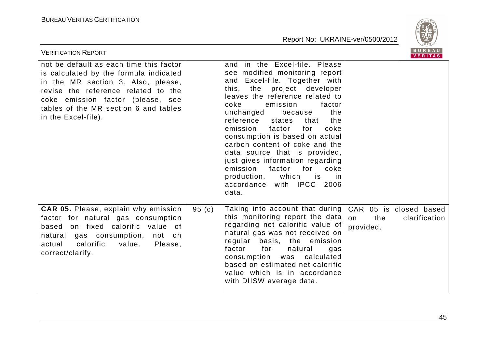

| <b>VERIFICATION REPORT</b>                                                                                                                                                                                                                                          |       |                                                                                                                                                                                                                                                                                                                                                                                                                                                                                                                                                                 |                        | BUREAU<br><b>VERITAS</b>                |
|---------------------------------------------------------------------------------------------------------------------------------------------------------------------------------------------------------------------------------------------------------------------|-------|-----------------------------------------------------------------------------------------------------------------------------------------------------------------------------------------------------------------------------------------------------------------------------------------------------------------------------------------------------------------------------------------------------------------------------------------------------------------------------------------------------------------------------------------------------------------|------------------------|-----------------------------------------|
| not be default as each time this factor<br>is calculated by the formula indicated<br>in the MR section 3. Also, please,<br>revise the reference related to the<br>coke emission factor (please, see<br>tables of the MR section 6 and tables<br>in the Excel-file). |       | and in the Excel-file. Please<br>see modified monitoring report<br>and Excel-file. Together with<br>project developer<br>this, the<br>leaves the reference related to<br>coke<br>emission<br>factor<br>unchanged<br>the<br>because<br>reference<br>the<br>states<br>that<br>emission<br>factor<br>coke<br>for<br>consumption is based on actual<br>carbon content of coke and the<br>data source that is provided,<br>just gives information regarding<br>emission factor for<br>coke<br>production, which<br>is is<br>in<br>accordance with IPCC 2006<br>data. |                        |                                         |
| <b>CAR 05.</b> Please, explain why emission<br>factor for natural gas consumption<br>based on fixed calorific value of<br>natural gas consumption,<br>not on<br>calorific<br>Please,<br>actual<br>value.<br>correct/clarify.                                        | 95(c) | Taking into account that during<br>this monitoring report the data<br>regarding net calorific value of<br>natural gas was not received on<br>regular basis, the emission<br>factor<br>for<br>natural<br>gas<br>consumption was calculated<br>based on estimated net calorific<br>value which is in accordance<br>with DIISW average data.                                                                                                                                                                                                                       | on<br>the<br>provided. | CAR 05 is closed based<br>clarification |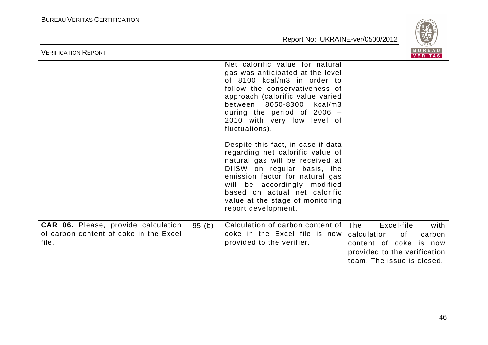

| <b>VERIFICATION REPORT</b>                                                             |       |                                                                                                                                                                                                                                                                                                                                                                                                      | BUREAU<br>VERITAS                                                                                                                               |      |
|----------------------------------------------------------------------------------------|-------|------------------------------------------------------------------------------------------------------------------------------------------------------------------------------------------------------------------------------------------------------------------------------------------------------------------------------------------------------------------------------------------------------|-------------------------------------------------------------------------------------------------------------------------------------------------|------|
|                                                                                        |       | Net calorific value for natural<br>gas was anticipated at the level<br>of 8100 kcal/m3 in order to<br>follow the conservativeness of<br>approach (calorific value varied<br>between 8050-8300 kcal/m3<br>during the period of $2006 -$<br>2010 with very low level of<br>fluctuations).<br>Despite this fact, in case if data<br>regarding net calorific value of<br>natural gas will be received at |                                                                                                                                                 |      |
|                                                                                        |       | DIISW on regular basis, the<br>emission factor for natural gas<br>will be accordingly modified<br>based on actual net calorific<br>value at the stage of monitoring<br>report development.                                                                                                                                                                                                           |                                                                                                                                                 |      |
| CAR 06. Please, provide calculation<br>of carbon content of coke in the Excel<br>file. | 95(b) | Calculation of carbon content of<br>coke in the Excel file is now<br>provided to the verifier.                                                                                                                                                                                                                                                                                                       | <b>The</b><br>Excel-file<br>carbon<br>calculation<br>of<br>content of coke is now<br>provided to the verification<br>team. The issue is closed. | with |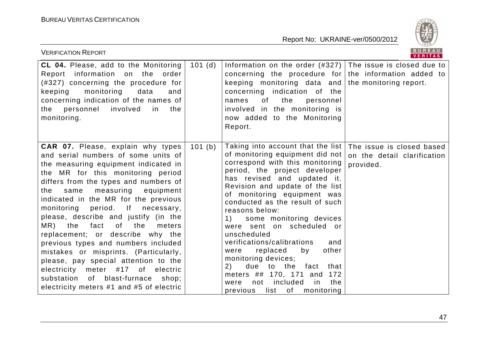

| <b>VERIFICATION REPORT</b>                                                                                                                                                                                                                                                                                                                                                                                                                                                                                                                                                                                                                                                                                |        |                                                                                                                                                                                                                                                                                                                                                                                                                                                                                                                                                                                                                            | B U K E A U  <br><b>VERITAS</b>                                       |
|-----------------------------------------------------------------------------------------------------------------------------------------------------------------------------------------------------------------------------------------------------------------------------------------------------------------------------------------------------------------------------------------------------------------------------------------------------------------------------------------------------------------------------------------------------------------------------------------------------------------------------------------------------------------------------------------------------------|--------|----------------------------------------------------------------------------------------------------------------------------------------------------------------------------------------------------------------------------------------------------------------------------------------------------------------------------------------------------------------------------------------------------------------------------------------------------------------------------------------------------------------------------------------------------------------------------------------------------------------------------|-----------------------------------------------------------------------|
| <b>CL 04.</b> Please, add to the Monitoring<br>Report information on the order<br>(#327) concerning the procedure for<br>keeping monitoring<br>data<br>and<br>concerning indication of the names of<br>personnel<br>involved<br>the<br>the<br>in<br>monitoring.                                                                                                                                                                                                                                                                                                                                                                                                                                           | 101(d) | Information on the order $(#327)$ The issue is closed due to<br>concerning the procedure for the information added to<br>keeping monitoring data and the monitoring report.<br>concerning indication of the<br>the<br>of<br>personnel<br>names<br>involved in the monitoring is<br>now added to the Monitoring<br>Report.                                                                                                                                                                                                                                                                                                  |                                                                       |
| <b>CAR 07.</b> Please, explain why types<br>and serial numbers of some units of<br>the measuring equipment indicated in<br>the MR for this monitoring period<br>differs from the types and numbers of<br>the<br>same measuring equipment<br>indicated in the MR for the previous<br>monitoring<br>period.<br>$\mathsf{If}$<br>necessary,<br>please, describe and justify (in the<br>of the<br>MR) the fact<br>meters<br>replacement; or describe why the<br>previous types and numbers included<br>mistakes or misprints. (Particularly,<br>please, pay special attention to the<br>electricity meter #17 of electric<br>substation of blast-furnace<br>shop;<br>electricity meters #1 and #5 of electric | 101(b) | Taking into account that the list<br>of monitoring equipment did not<br>correspond with this monitoring<br>period, the project developer<br>has revised and updated it.<br>Revision and update of the list<br>of monitoring equipment was<br>conducted as the result of such<br>reasons below:<br>some monitoring devices<br>1)<br>were sent on scheduled or<br>unscheduled<br>verifications/calibrations<br>and<br>by<br>other<br>replaced<br>were<br>monitoring devices;<br>due to the<br>fact<br>that<br>(2)<br>meters ## 170, 171 and 172<br>included<br>in<br>the<br>not<br>were<br>list of<br>previous<br>monitoring | The issue is closed based<br>on the detail clarification<br>provided. |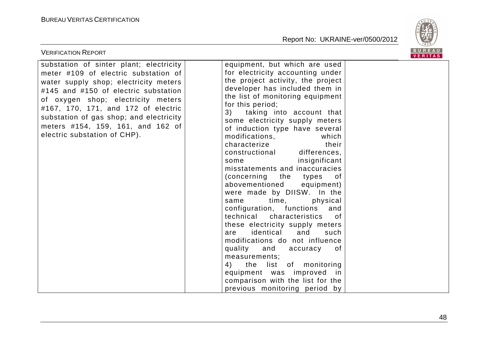

| <b>VERIFICATION REPORT</b>                                                                                                                                                                                                                                                                                                                                    |                                                                                                                                                                                                                                                                                                                                                                                                                                                                                                                                                                                                                                                                                                                                                                                                                                                                                                                                                   | <b>BUREAU</b><br><b>VERITAS</b> |
|---------------------------------------------------------------------------------------------------------------------------------------------------------------------------------------------------------------------------------------------------------------------------------------------------------------------------------------------------------------|---------------------------------------------------------------------------------------------------------------------------------------------------------------------------------------------------------------------------------------------------------------------------------------------------------------------------------------------------------------------------------------------------------------------------------------------------------------------------------------------------------------------------------------------------------------------------------------------------------------------------------------------------------------------------------------------------------------------------------------------------------------------------------------------------------------------------------------------------------------------------------------------------------------------------------------------------|---------------------------------|
| substation of sinter plant; electricity<br>meter #109 of electric substation of<br>water supply shop; electricity meters<br>#145 and #150 of electric substation<br>of oxygen shop; electricity meters<br>#167, 170, 171, and 172 of electric<br>substation of gas shop; and electricity<br>meters #154, 159, 161, and 162 of<br>electric substation of CHP). | equipment, but which are used<br>for electricity accounting under<br>the project activity, the project<br>developer has included them in<br>the list of monitoring equipment<br>for this period;<br>3) taking into account that<br>some electricity supply meters<br>of induction type have several<br>modifications,<br>which<br>their<br>characterize<br>constructional differences,<br>insignificant<br>some<br>misstatements and inaccuracies<br>(concerning the types<br>of<br>abovementioned<br>equipment)<br>were made by DIISW. In the<br>time, time<br>physical<br>same<br>configuration, functions<br>and<br>technical characteristics<br>of .<br>these electricity supply meters<br>identical<br>and<br>are<br>such<br>modifications do not influence<br>quality and accuracy<br>of<br>measurements;<br>the list of monitoring<br>4)<br>equipment was improved in<br>comparison with the list for the<br>previous monitoring period by |                                 |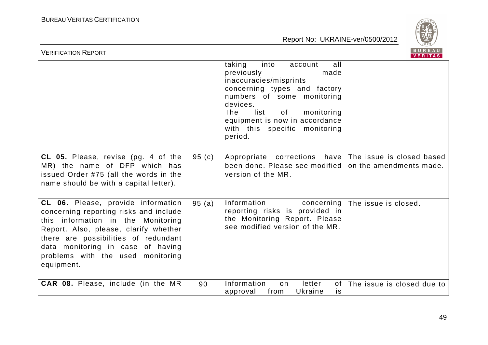

| BUREAU<br><b>VERIFICATION REPORT</b><br>VERITAS                                                                                                                                                                                                                                             |       |                                                                                                                                                                                                                                                                                |                            |  |  |
|---------------------------------------------------------------------------------------------------------------------------------------------------------------------------------------------------------------------------------------------------------------------------------------------|-------|--------------------------------------------------------------------------------------------------------------------------------------------------------------------------------------------------------------------------------------------------------------------------------|----------------------------|--|--|
|                                                                                                                                                                                                                                                                                             |       | taking<br>all<br>into<br>account<br>previously<br>made<br>inaccuracies/misprints<br>concerning types and factory<br>numbers of some monitoring<br>devices.<br>list<br>monitoring<br>The<br>of<br>equipment is now in accordance<br>with this specific<br>monitoring<br>period. |                            |  |  |
| CL 05. Please, revise (pg. 4 of the<br>MR) the name of DFP which has<br>issued Order #75 (all the words in the<br>name should be with a capital letter).                                                                                                                                    | 95(c) | Appropriate corrections have   The issue is closed based<br>been done. Please see modified<br>version of the MR.                                                                                                                                                               | on the amendments made.    |  |  |
| CL 06. Please, provide information<br>concerning reporting risks and include<br>this information in the Monitoring<br>Report. Also, please, clarify whether<br>there are possibilities of redundant<br>data monitoring in case of having<br>problems with the used monitoring<br>equipment. | 95(a) | Information<br>concerning<br>reporting risks is provided in<br>the Monitoring Report. Please<br>see modified version of the MR.                                                                                                                                                | The issue is closed.       |  |  |
| CAR 08. Please, include (in the MR                                                                                                                                                                                                                                                          | 90    | Information<br>letter<br>of<br>on<br>approval<br>from<br>Ukraine<br>is.                                                                                                                                                                                                        | The issue is closed due to |  |  |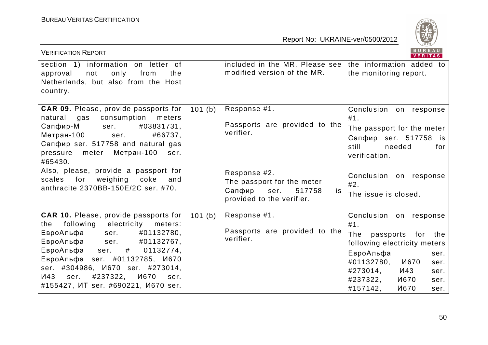

| <b>VERIFICATION REPORT</b>                                                                                                                                                                                                                                                                     |        |                                                                                                           | BUREAU<br><b>VERITAS</b>                                                                                                                                              |
|------------------------------------------------------------------------------------------------------------------------------------------------------------------------------------------------------------------------------------------------------------------------------------------------|--------|-----------------------------------------------------------------------------------------------------------|-----------------------------------------------------------------------------------------------------------------------------------------------------------------------|
| section 1) information on letter of<br>only<br>approval<br>not<br>from<br>the<br>Netherlands, but also from the Host<br>country.                                                                                                                                                               |        | included in the MR. Please see<br>modified version of the MR.                                             | the information added to<br>the monitoring report.                                                                                                                    |
| <b>CAR 09.</b> Please, provide passports for<br>consumption<br>natural<br>gas<br>meters<br>Сапфир-М<br>#03831731,<br>ser.<br>Метран-100<br>#66737,<br>ser.<br>Сапфир ser. 517758 and natural gas<br>Метран-100<br>pressure<br>meter<br>ser.<br>#65430.<br>Also, please, provide a passport for | 101(b) | Response #1.<br>Passports are provided to the<br>verifier.                                                | Conclusion on response<br>#1.<br>The passport for the meter<br>Сапфир ser. 517758 is<br>still<br>needed<br>for<br>verification.                                       |
| for<br>weighing<br>scales<br>coke<br>and<br>anthracite 2370BB-150E/2C ser. #70.                                                                                                                                                                                                                |        | Response #2.<br>The passport for the meter<br>Сапфир<br>517758<br>ser.<br>is<br>provided to the verifier. | Conclusion on response<br>#2.<br>The issue is closed.                                                                                                                 |
| <b>CAR 10.</b> Please, provide passports for<br>following<br>electricity<br>the<br>meters:                                                                                                                                                                                                     | 101(b) | Response #1.                                                                                              | Conclusion on response<br>#1.                                                                                                                                         |
| ЕвроАльфа<br>#01132780,<br>ser.<br>#01132767,<br>ЕвроАльфа<br>ser.                                                                                                                                                                                                                             |        | Passports are provided to the<br>verifier.                                                                | The<br>passports for the<br>following electricity meters                                                                                                              |
| ЕвроАльфа<br>01132774,<br>#<br>ser.<br>ЕвроАльфа ser. #01132785, И670<br>ser. #304986, <i>M670</i> ser. #273014,<br>#237322,<br><b><i>M670</i></b><br><b>И43</b><br>ser.<br>ser.<br>#155427, MT ser. #690221, <i>M670</i> ser.                                                                 |        |                                                                                                           | ЕвроАльфа<br>ser.<br>#01132780,<br><b><i>M670</i></b><br>ser.<br>#273014,<br><b>И43</b><br>ser.<br>#237322,<br><b>И670</b><br>ser.<br>#157142.<br><b>И670</b><br>ser. |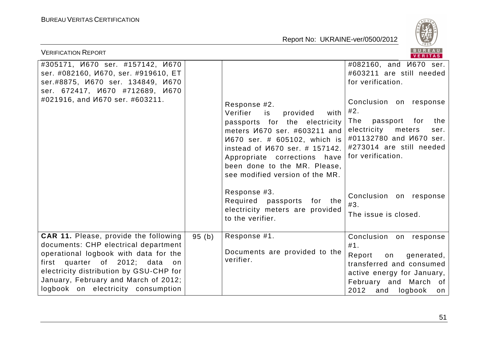

| <b>VERIFICATION REPORT</b>                                                                                                                                                                                                                                                                  |       |                                                                                                                                                                                                                                                                                                         | BUREAU<br><b>VERITAS</b>                                                                                                                                                                                                                                              |
|---------------------------------------------------------------------------------------------------------------------------------------------------------------------------------------------------------------------------------------------------------------------------------------------|-------|---------------------------------------------------------------------------------------------------------------------------------------------------------------------------------------------------------------------------------------------------------------------------------------------------------|-----------------------------------------------------------------------------------------------------------------------------------------------------------------------------------------------------------------------------------------------------------------------|
| #305171, <i>V</i> 670 ser. #157142, V670<br>ser. #082160, <i>M670</i> , ser. #919610, ET<br>ser.#8875, <i>V</i> 670 ser. 134849, V670<br>ser. 672417, <i>V</i> 670 #712689, V670<br>#021916, and <i>V</i> 670 ser. #603211.                                                                 |       | Response #2.<br>Verifier<br>is<br>provided<br>with<br>passports for the electricity<br>meters <i>V</i> 670 ser. #603211 and<br>И670 ser. # 605102, which is<br>instead of <i>M670</i> ser. # 157142.<br>Appropriate corrections have<br>been done to the MR. Please,<br>see modified version of the MR. | #082160, and <i>V</i> 670 ser.<br>#603211 are still needed<br>for verification.<br>Conclusion on response<br>#2.<br>The<br>passport<br>for<br>the<br>electricity<br>meters<br>ser.<br>#01132780 and <i>M670</i> ser.<br>#273014 are still needed<br>for verification. |
|                                                                                                                                                                                                                                                                                             |       | Response #3.<br>Required passports<br>for the<br>electricity meters are provided<br>to the verifier.                                                                                                                                                                                                    | Conclusion on response<br>#3.<br>The issue is closed.                                                                                                                                                                                                                 |
| <b>CAR 11.</b> Please, provide the following<br>documents: CHP electrical department<br>operational logbook with data for the<br>first quarter of 2012; data<br>on<br>electricity distribution by GSU-CHP for<br>January, February and March of 2012;<br>logbook on electricity consumption | 95(h) | Response #1.<br>Documents are provided to the<br>verifier.                                                                                                                                                                                                                                              | Conclusion on response<br>#1.<br>Report<br>generated,<br>on<br>transferred and consumed<br>active energy for January,<br>February and March of<br>2012 and<br>logbook<br>on                                                                                           |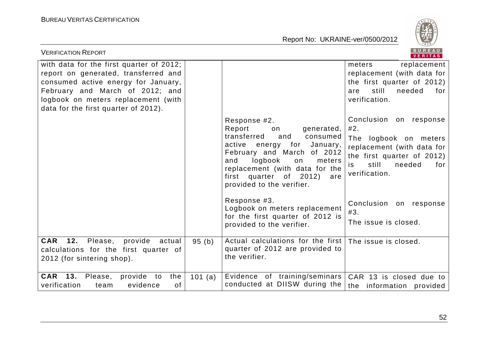

| <b>VERIFICATION REPORT</b>                                                                                                                                                                                                                |         |                                                                                                                                                                                                                                                                                  | BUREAU<br>VERITAS                                                                                                                                                   |
|-------------------------------------------------------------------------------------------------------------------------------------------------------------------------------------------------------------------------------------------|---------|----------------------------------------------------------------------------------------------------------------------------------------------------------------------------------------------------------------------------------------------------------------------------------|---------------------------------------------------------------------------------------------------------------------------------------------------------------------|
| with data for the first quarter of 2012;<br>report on generated, transferred and<br>consumed active energy for January,<br>February and March of 2012; and<br>logbook on meters replacement (with<br>data for the first quarter of 2012). |         |                                                                                                                                                                                                                                                                                  | meters<br>replacement<br>replacement (with data for<br>the first quarter of 2012)<br>still<br>needed<br>for<br>are<br>verification.                                 |
|                                                                                                                                                                                                                                           |         | Response #2.<br>Report<br>generated,<br>on<br>transferred<br>and<br>consumed<br>active<br>January,<br>energy for<br>February and March of 2012<br>logbook<br>and<br>meters<br>on<br>replacement (with data for the<br>first quarter of 2012)<br>are<br>provided to the verifier. | Conclusion on response<br>#2.<br>The logbook on meters<br>replacement (with data for<br>the first quarter of 2012)<br>still<br>needed<br>for<br>is<br>verification. |
|                                                                                                                                                                                                                                           |         | Response #3.<br>Logbook on meters replacement<br>for the first quarter of 2012 is<br>provided to the verifier.                                                                                                                                                                   | Conclusion on response<br>#3.<br>The issue is closed.                                                                                                               |
| 12.<br><b>CAR</b><br>Please,<br>provide actual<br>calculations for the first quarter of<br>2012 (for sintering shop).                                                                                                                     | 95(b)   | Actual calculations for the first   The issue is closed.<br>quarter of 2012 are provided to<br>the verifier.                                                                                                                                                                     |                                                                                                                                                                     |
| 13.<br><b>CAR</b><br>provide to<br>Please,<br>the<br>verification<br>evidence<br>0f<br>team                                                                                                                                               | 101 (a) | Evidence of training/seminars<br>conducted at DIISW during the                                                                                                                                                                                                                   | CAR 13 is closed due to<br>the information provided                                                                                                                 |